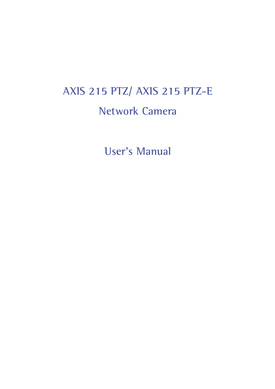# **AXIS 215 PTZ/ AXIS 215 PTZ-E Network Camera**

**User's Manual**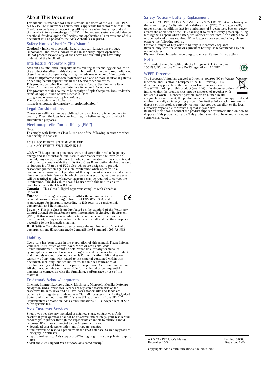This manual is intended for administrators and users of the AXIS 215 PTZ/ AXIS 215 PTZ-E Network Camera, and is applicable for software release 4.40. Previous experience of networking will be of use when installing and using<br>this product. Some knowledge of UNIX or Linux-based systems would also be<br>beneficial, for developing shell scripts and applications. Later versions

#### **Safety Notices Used In This Manual**

Caution! - Indicates a potential hazard that can damage the product.<br>Important! - Indicates a hazard that can seriously impair operation.<br>Do not proceed beyond any of the above notices until you have fully understood the implications.

#### **Intellectual Property Rights**

Axis AB has intellectual property rights relating to technology embodied in the product described in this document. In particular, and without limitation, these intellectual property rights may include one or more of the patents listed at http://www.axis.com/patent.htm and one or more additional patents or pending patent applications in the US and other countries. This product contains licensed third-party software. See the menu item

"About" in the product's user interface for more information. This product contains source code copyright Apple Computer, Inc., under the terms of Apple Public Source License 2.0 (see

http://www.opensource.apple.com/apsl/). The source code is available from:

http://developer.apple.com/darwin/projects/bonjour/

#### **Legal Considerations**

Camera surveillance can be prohibited by laws that vary from country to country. Check the laws in your local region before using this product for surveillance purposes.

#### **Electromagnetic Compatibility (EMC)**

Note: To comply with limits in Class B, use one of the following accessories when connecting I/O cables:

20291 ACC FERRITE SPLIT SNAP IN EUR 20292 ACC FERRITE SPLIT SNAP IN US

**USA -** This equipment generates, uses, and can radiate radio frequency energy and if not installed and used in accordance with the instruction<br>manual, may cause interference to radio communications. It has been tested<br>and found to comply with the limits for a Class B computing device pursuant likely to cause interference, in which case the user at his/her own expense<br>will be required to take whatever measures may be required to correct the<br>interference. Shielded cables should be used with this unit to ensure compliance with the Class B limits.

**Canada -** This Class B digital apparatus complies with Canadian ICES-003.

**Europe -** This digital equipment fulfills the requirements for  $\epsilon$ radiated emission according to limit B of EN55022:1998, and the requirements for immunity according to EN55024:1998 residential, commercial, and light industry.

**Japan –** This is a class B product based on the standard of the Voluntary Control Council for Interference from Information Technology Equipment (VCCI). If this is used near a radio or television receiver in a domestic en according to the instruction manual.

**Australia -** This electronic device meets the requirements of the Radio communications (Electromagnetic Compatibility) Standard 1998 AS/NZS 3548.

#### **Liability**

Every care has been taken in the preparation of this manual; Please inform your local Axis office of any inaccuracies or omissions. Axis Communications AB cannot be held responsible for any technical or typographical errors and reserves the right to make changes to the product<br>and manuals without prior notice. Axis Communications AB makes no<br>warranty of any kind with regard to the material contained within this<br>document, merchantability and fitness for a particular purpose. Axis Communications AB shall not be liable nor responsible for incidental or consequential damages in connection with the furnishing, performance or use of this material.

#### **Trademark Acknowledgments**

France Harent Explorer, Linux, Macintosh, Microsoft, Mozilla, Netscape<br>
Ethernet, Internet Explorer, Linux, Macintosh, Microsoft, Mozilla, Netscape<br>
Navigator, UNIX, Windows, WWW are registered trademarks of the<br>
respectiv Microsystems Inc.

#### **Axis Customer Services**

Should you require any technical assistance, please contact your Axis<br>reseller. If your questions cannot be answered immediately, your reseller will<br>forward your queries through the appropriate channels to ensure a rapid response. If you are connected to the Internet, you can:<br>● download user documentation and firmware updates<br>● find answers to resolved problems in the FAQ database. Search by product,

- 
- category, or phrases report problems to Axis support staff by logging in to your private support
- area visit the Axis Support Web at www.axis.com/techsup/
- 

#### **About This Document 2 Safety Notice - Battery Replacement**

The AXIS 215 PTZ/ AXIS 215 PTZ-E uses a 3.0V CR2032 Lithium battery as the power supply for its internal real-time clock (RTC). This battery will,<br>under normal conditions, last for a minimum of 5 years. Low battery power<br>affects the operation of the RTC, causing it to reset at every power-up. not be replaced unless required! If the battery does need replacing, please observe the following points:

Caution! Danger of Explosion if battery is incorrectly replaced. Replace only with the same or equivalent battery, as recommended by the manufacturer.

Dispose of used batteries according to the manufacturer's instructions.

#### **RoHS**

This product complies with both the European RoHS directive, 2002/95/EC, and the Chinese RoHS regulations, ACPEIP.

#### **WEEE Directive**

The European Union has enacted a Directive 2002/96/EC on Waste<br>Electrical and Electronic Equipment (WEEE Directive). This<br>directive is applicable in the European Union member states.



The WEEE marking on this product (see right) or its documentation<br>indicates that the product must not be disposed of together with<br>household waste. To prevent possible harm to human health and/or the environment, the product must be disposed of in an approved and environmentally safe recycling process. For further information on how to dispose of this product correctly, contact the product supplier, or the l

commercial waste.

AXIS 215 PTZ User's Manual Part No: 34088 December 2008 Revision: 2.00

Copyright© Axis Communications AB, 2007-2008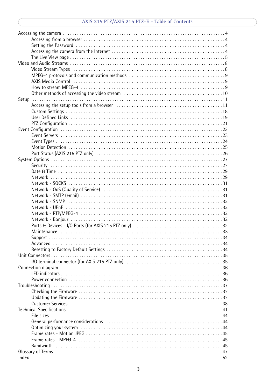### AXIS 215 PTZ/AXIS 215 PTZ-E - Table of Contents

| Video Stream Types (all contains and contained all contains and all contains a set of $8$ |  |
|-------------------------------------------------------------------------------------------|--|
|                                                                                           |  |
|                                                                                           |  |
|                                                                                           |  |
|                                                                                           |  |
|                                                                                           |  |
|                                                                                           |  |
|                                                                                           |  |
|                                                                                           |  |
|                                                                                           |  |
|                                                                                           |  |
|                                                                                           |  |
|                                                                                           |  |
|                                                                                           |  |
|                                                                                           |  |
|                                                                                           |  |
|                                                                                           |  |
|                                                                                           |  |
|                                                                                           |  |
|                                                                                           |  |
|                                                                                           |  |
|                                                                                           |  |
|                                                                                           |  |
|                                                                                           |  |
|                                                                                           |  |
|                                                                                           |  |
|                                                                                           |  |
|                                                                                           |  |
|                                                                                           |  |
| Support                                                                                   |  |
|                                                                                           |  |
|                                                                                           |  |
|                                                                                           |  |
|                                                                                           |  |
|                                                                                           |  |
|                                                                                           |  |
|                                                                                           |  |
|                                                                                           |  |
|                                                                                           |  |
|                                                                                           |  |
|                                                                                           |  |
|                                                                                           |  |
|                                                                                           |  |
|                                                                                           |  |
|                                                                                           |  |
|                                                                                           |  |
|                                                                                           |  |
|                                                                                           |  |
|                                                                                           |  |
|                                                                                           |  |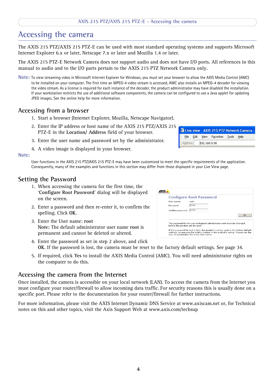#### **AXIS 215 PTZ/AXIS 215 PTZ-E - Accessing the camera**

## <span id="page-3-0"></span>**Accessing the camera**

The AXIS 215 PTZ/AXIS 215 PTZ-E can be used with most standard operating systems and supports Microsoft Internet Explorer 6.x or later, Netscape 7.x or later and Mozilla 1.4 or later.

The AXIS 215 PTZ-E Network Camera does not support audio and does not have I/O ports. All references in this manual to audio and to the I/O parts pertain to the AXIS 215 PTZ Network Camera only.

**Note:** To view streaming video in Microsoft Internet Explorer for Windows, you must set your browser to allow the AXIS Media Control (AMC) to be installed on your computer. The first time an MPEG-4 video stream is accessed, AMC also installs an MPEG-4 decoder for viewing the video stream. As a license is required for each instance of the decoder, the product administrator may have disabled the installation. If your workstation restricts the use of additional software components, the camera can be configured to use a Java applet for updating JPEG images. See the online help for more information.

#### <span id="page-3-1"></span>**Accessing from a browser**

- 1. Start a browser (Internet Explorer, Mozilla, Netscape Navigator).
- 2. Enter the IP address or host name of the AXIS 215 PTZ/AXIS 215 PTZ-E in the **Location/ Address** field of your browser.
- 3. Enter the user name and password set by the administrator.
- 4. A video image is displayed in your browser.

#### **Note:**

<span id="page-3-4"></span>User functions in the AXIS 215 PTZ/AXIS 215 PTZ-E may have been customized to meet the specific requirements of the application. Consequently, many of the examples and functions in this section may differ from those displayed in your Live View page.

#### <span id="page-3-2"></span>**Setting the Password**

- 1. When accessing the camera for the first time, the '**Configure Root Password**' dialog will be displayed on the screen.
- 2. Enter a password and then re-enter it, to confirm the spelling. Click **OK**.
- 3. Enter the User name: **root Note:** The default administrator user name **root** is permanent and cannot be deleted or altered.

|                                 | <b>Configure Root Password</b>                                                                                                                                                                                     |    |
|---------------------------------|--------------------------------------------------------------------------------------------------------------------------------------------------------------------------------------------------------------------|----|
| User name:                      | root                                                                                                                                                                                                               |    |
| Password:                       | sk sk sk sk                                                                                                                                                                                                        |    |
| Confirm password:               | skak skak                                                                                                                                                                                                          |    |
|                                 |                                                                                                                                                                                                                    | OK |
| before the product can be used. | The password for the pre-configured administrator root must be changed                                                                                                                                             |    |
|                                 | If the password for root is lost, the product must be reset to the factory default<br>settings, by pressing the button located in the product's casing. Please see the<br>user documentation for more information. |    |

- 4. Enter the password as set in step 2 above, and click **OK**. If the password is lost, the camera must be reset to the factory default settings. See [page 34](#page-33-3).
- 5. If required, click **Yes** to install the AXIS Media Control (AMC). You will need administrator rights on the computer to do this.

#### <span id="page-3-3"></span>**Accessing the camera from the Internet**

Once installed, the camera is accessible on your local network (LAN). To access the camera from the Internet you must configure your router/firewall to allow incoming data traffic. For security reasons this is usually done on a specific port. Please refer to the documentation for your router/firewall for further instructions.

For more information, please visit the AXIS Internet Dynamic DNS Service at www.axiscam.net or, for Technical notes on this and other topics, visit the Axis Support Web at www.axis.com/techsup

|         |  |              |                                     | Live view - AXIS 215 PTZ Network Camera - |
|---------|--|--------------|-------------------------------------|-------------------------------------------|
|         |  |              | File Edit View Favorites Tools Help |                                           |
| Address |  | 192.168.0.90 |                                     |                                           |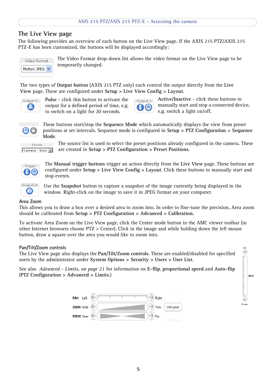### <span id="page-4-0"></span>**The Live View page**

The following provides an overview of each button on the Live View page. If the AXIS 215 PTZ/AXIS 215 PTZ-E has been customized, the buttons will be displayed accordingly:

<span id="page-4-2"></span>Video format Motion JPEG V The Video Format drop-down list allows the video format on the Live View page to be temporarily changed.

The two types of **Output button** (AXIS 215 PTZ only) each control the output directly from the **Live View** page. These are configured under **Setup > Live View Config > Layout**.



**Pulse** - click this button to activate the output for a defined period of time, e.g. to switch on a light for 20 seconds.



<span id="page-4-1"></span>**Active/Inactive** - click these buttons to manually start and stop a connected device, e.g. switch a light on/off.



These buttons start/stop the **Sequence Mode** which automatically displays the view from preset positions at set intervals. Sequence mode is configured in **Setup > PTZ Configuration > Sequence Mode**.

Source Camera - Door

The source list is used to select the preset positions already configured in the camera. These are created in **Setup > PTZ Configuration > Preset Positions**.



The **Manual trigger buttons** trigger an action directly from the **Live View** page. These buttons are configured under **Setup > Live View Config > Layout**. Click these buttons to manually start and stop events.



<span id="page-4-3"></span>Use the **Snapshot** button to capture a snapshot of the image currently being displayed in the window. Right-click on the image to save it in JPEG format on your computer.

#### **Area Zoom**

This allows you to draw a box over a desired area to zoom into. In order to fine-tune the precision, Area zoom should be calibrated from **Setup > PTZ Configuration > Advanced > Calibration**.

To activate Area Zoom on the Live View page, click the Center mode button in the AMC viewer toolbar (in other Internet browsers choose PTZ > Center). Click in the image and while holding down the left mouse button, draw a square over the area you would like to zoom into.

#### **Pan/Tilt/Zoom controls**

The Live View page also displays the **Pan/Tilt/Zoom controls**. These are enabled/disabled for specified users by the administrator under **System Options > Security > Users > User List**.

See also *[Advanced - Limits, on page 21](#page-20-1)* for information on **E-flip**, **proportional speed** and **Auto-flip** (**PTZ Configuration > Advanced > Limits**.)



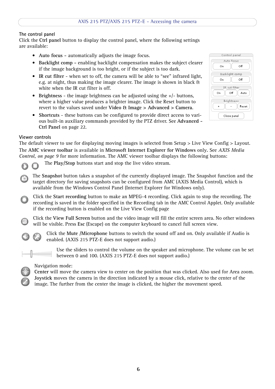#### <span id="page-5-1"></span>**The control panel**

Click the **Ctrl panel** button to display the control panel, where the following settings are available:

- **Auto focus** automatically adjusts the image focus.
- **Backlight comp** enabling backlight compensation makes the subject clearer if the image background is too bright, or if the subject is too dark.
- <span id="page-5-2"></span>• **IR cut filter** - when set to off, the camera will be able to "see" infrared light, e.g. at night, thus making the image clearer. The image is shown in black & white when the IR cut filter is off.
- **Brightness** the image brightness can be adjusted using the +/- buttons, where a higher value produces a brighter image. Click the Reset button to revert to the values saved under **Video & Image > Advanced > Camera**.
- <span id="page-5-3"></span>• **Shortcuts** - these buttons can be configured to provide direct access to various built-in auxiliary commands provided by the PTZ driver. See **Advanced - Ctrl Panel** [on page 22](#page-21-0).

| Control panel     |  |  |
|-------------------|--|--|
| Auto focus        |  |  |
| Οff<br>Оn         |  |  |
| Backlight comp    |  |  |
| Οff<br>Оn         |  |  |
| IR cut filter     |  |  |
| Off<br>On<br>Auto |  |  |
| Brightness        |  |  |
| Reset             |  |  |
| Close panel       |  |  |

#### **Viewer controls**

<span id="page-5-0"></span>The default viewer to use for displaying moving images is selected from Setup > Live View Config > Layout. The **AMC viewer toolbar** is available in **Microsoft Internet Explorer for Windows** only**.** See *[AXIS Media](#page-8-1)  [Control, on page 9](#page-8-1)* for more information. The AMC viewer toolbar displays the following buttons:

The **Play/Stop** buttons start and stop the live video stream.

The **Snapshot** button takes a snapshot of the currently displayed image. The Snapshot function and the target directory for saving snapshots can be configured from AMC (AXIS Media Control), which is available from the Windows Control Panel (Internet Explorer for Windows only).

Click the **Start recording** button to make an MPEG-4 recording. Click again to stop the recording. The recording is saved in the folder specified in the Recording tab in the AMC Control Applet. Only available if the recording button is enabled on the Live View Config page

Click the **View Full Screen** button and the video image will fill the entire screen area. No other windows will be visible. Press **Esc** (Escape) on the computer keyboard to cancel full screen view.



Click the **Mute /Microphone** buttons to switch the sound off and on. Only available if Audio is enabled. (AXIS 215 PTZ-E does not support audio.)



Use the sliders to control the volume on the speaker and microphone. The volume can be set between 0 and 100. (AXIS 215 PTZ-E does not support audio.)

#### Navigation mode:

**Center** will move the camera view to center on the position that was clicked. Also used for Area zoom. **Joystick** moves the camera in the direction indicated by a mouse click, relative to the center of the image. The further from the center the image is clicked, the higher the movement speed.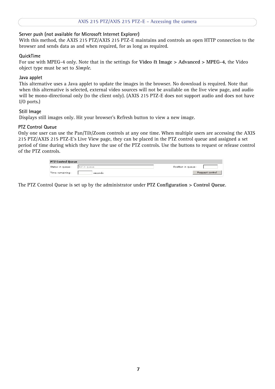#### **Server push (not available for Microsoft Internet Explorer)**

With this method, the AXIS 215 PTZ/AXIS 215 PTZ-E maintains and controls an open HTTP connection to the browser and sends data as and when required, for as long as required.

#### **QuickTime**

For use with MPEG-4 only. Note that in the settings for **Video & Image > Advanced > MPEG-4**, the Video object type must be set to *Simple*.

#### **Java applet**

This alternative uses a Java applet to update the images in the browser. No download is required. Note that when this alternative is selected, external video sources will not be available on the live view page, and audio will be mono-directional only (to the client only). (AXIS 215 PTZ-E does not support audio and does not have I/O ports.)

#### **Still Image**

Displays still images only. Hit your browser's Refresh button to view a new image.

#### <span id="page-6-0"></span>**PTZ Control Queue**

Only one user can use the Pan/Tilt/Zoom controls at any one time. When multiple users are accessing the AXIS 215 PTZ/AXIS 215 PTZ-E's Live View page, they can be placed in the PTZ control queue and assigned a set period of time during which they have the use of the PTZ controls. Use the buttons to request or release control of the PTZ controls.

| <b>PTZ Control Queue</b> |              |                    |  |
|--------------------------|--------------|--------------------|--|
| Status in queue:         | Not in queue | Position in queue: |  |
| Time remaining:          | seconds      | Request control    |  |

The PTZ Control Queue is set up by the administrator under **PTZ Configuration > Control Queue**.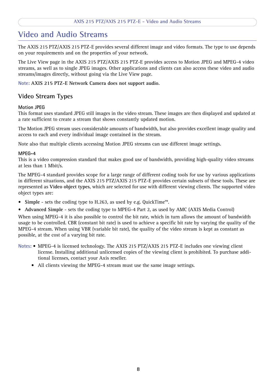## <span id="page-7-0"></span>**Video and Audio Streams**

The AXIS 215 PTZ/AXIS 215 PTZ-E provides several different image and video formats. The type to use depends on your requirements and on the properties of your network.

The Live View page in the AXIS 215 PTZ/AXIS 215 PTZ-E provides access to Motion JPEG and MPEG-4 video streams, as well as to single JPEG images. Other applications and clients can also access these video and audio streams/images directly, without going via the Live View page.

**Note: AXIS 215 PTZ-E Network Camera does not support audio.**

### <span id="page-7-1"></span>**Video Stream Types**

#### <span id="page-7-6"></span>**Motion JPEG**

This format uses standard JPEG still images in the video stream. These images are then displayed and updated at a rate sufficient to create a stream that shows constantly updated motion.

The Motion JPEG stream uses considerable amounts of bandwidth, but also provides excellent image quality and access to each and every individual image contained in the stream.

Note also that multiple clients accessing Motion JPEG streams can use different image settings.

#### <span id="page-7-7"></span>**MPEG-4**

This is a video compression standard that makes good use of bandwidth, providing high-quality video streams at less than 1 Mbit/s.

The MPEG-4 standard provides scope for a large range of different coding tools for use by various applications in different situations, and the AXIS 215 PTZ/AXIS 215 PTZ-E provides certain subsets of these tools. These are represented as **Video object types**, which are selected for use with different viewing clients. The supported video object types are:

- <span id="page-7-8"></span><span id="page-7-2"></span>• **Simple** - sets the coding type to H.263, as used by e.g. QuickTime™.
- <span id="page-7-4"></span><span id="page-7-3"></span>• **Advanced Simple** - sets the coding type to MPEG-4 Part 2, as used by AMC (AXIS Media Control)

<span id="page-7-9"></span><span id="page-7-5"></span>When using MPEG-4 it is also possible to control the bit rate, which in turn allows the amount of bandwidth usage to be controlled. CBR (constant bit rate) is used to achieve a specific bit rate by varying the quality of the MPEG-4 stream. When using VBR (variable bit rate), the quality of the video stream is kept as constant as possible, at the cost of a varying bit rate.

- **Notes:**  MPEG-4 is licensed technology. The AXIS 215 PTZ/AXIS 215 PTZ-E includes one viewing client license. Installing additional unlicensed copies of the viewing client is prohibited. To purchase additional licenses, contact your Axis reseller.
	- All clients viewing the MPEG-4 stream must use the same image settings.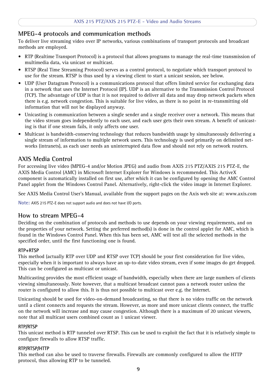### <span id="page-8-4"></span><span id="page-8-0"></span>**MPEG-4 protocols and communication methods**

To deliver live streaming video over IP networks, various combinations of transport protocols and broadcast methods are employed.

- <span id="page-8-6"></span>• RTP (Realtime Transport Protocol) is a protocol that allows programs to manage the real-time transmission of multimedia data, via unicast or multicast.
- <span id="page-8-7"></span>• RTSP (Real Time Streaming Protocol) serves as a control protocol, to negotiate which transport protocol to use for the stream. RTSP is thus used by a viewing client to start a unicast session, see below.
- <span id="page-8-9"></span>• UDP (User Datagram Protocol) is a communications protocol that offers limited service for exchanging data in a network that uses the Internet Protocol (IP). UDP is an alternative to the Transmission Control Protocol (TCP). The advantage of UDP is that it is not required to deliver all data and may drop network packets when there is e.g. network congestion. This is suitable for live video, as there is no point in re-transmitting old information that will not be displayed anyway.
- <span id="page-8-10"></span>• Unicasting is communication between a single sender and a single receiver over a network. This means that the video stream goes independently to each user, and each user gets their own stream. A benefit of unicasting is that if one stream fails, it only affects one user.
- <span id="page-8-5"></span>• Multicast is bandwidth-conserving technology that reduces bandwidth usage by simultaneously delivering a single stream of information to multiple network users. This technology is used primarily on delimited networks (intranets), as each user needs an uninterrupted data flow and should not rely on network routers.

### <span id="page-8-3"></span><span id="page-8-1"></span>**AXIS Media Control**

For accessing live video (MPEG-4 and/or Motion JPEG) and audio from AXIS 215 PTZ/AXIS 215 PTZ-E, the AXIS Media Control (AMC) in Microsoft Internet Explorer for Windows is recommended. This ActiveX component is automatically installed on first use, after which it can be configured by opening the AMC Control Panel applet from the Windows Control Panel. Alternatively, right-click the video image in Internet Explorer.

See AXIS Media Control User's Manual, available from the support pages on the Axis web site at: www.axis.com

**Note:** AXIS 215 PTZ-E does not support audio and does not have I/O ports.

### <span id="page-8-8"></span><span id="page-8-2"></span>**How to stream MPEG-4**

Deciding on the combination of protocols and methods to use depends on your viewing requirements, and on the properties of your network. Setting the preferred method(s) is done in the control applet for AMC, which is found in the Windows Control Panel. When this has been set, AMC will test all the selected methods in the specified order, until the first functioning one is found.

#### **RTP+RTSP**

This method (actually RTP over UDP and RTSP over TCP) should be your first consideration for live video, especially when it is important to always have an up-to-date video stream, even if some images do get dropped. This can be configured as multicast or unicast.

Multicasting provides the most efficient usage of bandwidth, especially when there are large numbers of clients viewing simultaneously. Note however, that a multicast broadcast cannot pass a network router unless the router is configured to allow this. It is thus not possible to multicast over e.g. the Internet.

Unicasting should be used for video-on-demand broadcasting, so that there is no video traffic on the network until a client connects and requests the stream. However, as more and more unicast clients connect, the traffic on the network will increase and may cause congestion. Although there is a maximum of 20 unicast viewers, note that all multicast users combined count as 1 unicast viewer.

#### **RTP/RTSP**

This unicast method is RTP tunneled over RTSP. This can be used to exploit the fact that it is relatively simple to configure firewalls to allow RTSP traffic.

#### **RTP/RTSP/HTTP**

This method can also be used to traverse firewalls. Firewalls are commonly configured to allow the HTTP protocol, thus allowing RTP to be tunneled.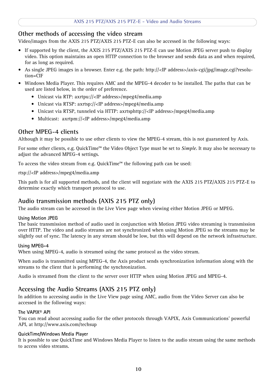### <span id="page-9-1"></span><span id="page-9-0"></span>**Other methods of accessing the video stream**

Video/images from the AXIS 215 PTZ/AXIS 215 PTZ-E can also be accessed in the following ways:

- If supported by the client, the AXIS 215 PTZ/AXIS 215 PTZ-E can use Motion JPEG server push to display video. This option maintains an open HTTP connection to the browser and sends data as and when required, for as long as required.
- As single JPEG images in a browser. Enter e.g. the path: http://<IP address>/axis-cgi/jpg/image.cgi?resolution=CIF
- Windows Media Player. This requires AMC and the MPEG-4 decoder to be installed. The paths that can be used are listed below, in the order of preference.
	- Unicast via RTP: axrtpu://<IP address>/mpeg4/media.amp
	- Unicast via RTSP: axrtsp://<IP address>/mpeg4/media.amp
	- Unicast via RTSP, tunneled via HTTP: axrtsphttp://<IP address>/mpeg4/media.amp
	- Multicast: axrtpm://<IP address>/mpeg4/media.amp

### <span id="page-9-2"></span>**Other MPEG-4 clients**

Although it may be possible to use other clients to view the MPEG-4 stream, this is not guaranteed by Axis.

For some other clients, e.g. QuickTime™ the Video Object Type must be set to *Simple*. It may also be necessary to adjust the advanced MPEG-4 settings.

To access the video stream from e.g. QuickTime™ the following path can be used:

rtsp://<IP address>/mpeg4/media.amp

This path is for all supported methods, and the client will negotiate with the AXIS 215 PTZ/AXIS 215 PTZ-E to determine exactly which transport protocol to use.

### **Audio transmission methods (AXIS 215 PTZ only)**

The audio stream can be accessed in the Live View page when viewing either Motion JPEG or MPEG.

#### **Using Motion JPEG**

The basic transmission method of audio used in conjunction with Motion JPEG video streaming is transmission over HTTP. The video and audio streams are not synchronized when using Motion JPEG so the streams may be slightly out of sync. The latency in any stream should be low, but this will depend on the network infrastructure.

#### **Using MPEG-4**

When using MPEG-4, audio is streamed using the same protocol as the video stream.

When audio is transmitted using MPEG-4, the Axis product sends synchronization information along with the streams to the client that is performing the synchronization.

Audio is streamed from the client to the server over HTTP when using Motion JPEG and MPEG-4.

### **Accessing the Audio Streams (AXIS 215 PTZ only)**

In addition to accessing audio in the Live View page using AMC, audio from the Video Server can also be accessed in the following ways:

#### **The VAPIX® API**

You can read about accessing audio for the other protocols through VAPIX, Axis Communications' powerful API, at http://www.axis.com/techsup

#### **QuickTime/Windows Media Player**

It is possible to use QuickTime and Windows Media Player to listen to the audio stream using the same methods to access video streams.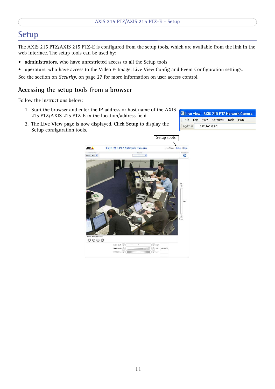## <span id="page-10-0"></span>**Setup**

The AXIS 215 PTZ/AXIS 215 PTZ-E is configured from the setup tools, which are available from the link in the web interface. The setup tools can be used by:

- <span id="page-10-2"></span>• **administrators**, who have unrestricted access to all the Setup tools
- **operators**, who have access to the Video & Image, Live View Config and Event Configuration settings.

See the section on *Security*[, on page 27](#page-26-2) for more information on user access control.

### <span id="page-10-1"></span>**Accessing the setup tools from a browser**

Follow the instructions below:

- 1. Start the browser and enter the IP address or host name of the AXIS 215 PTZ/AXIS 215 PTZ-E in the location/address field.
- <span id="page-10-3"></span>2. The **Live View** page is now displayed. Click **Setup** to display the **Setup** configuration tools.

<span id="page-10-4"></span>

|                      |  | Live view - AXIS 215 PTZ Network Camera - |  |  |
|----------------------|--|-------------------------------------------|--|--|
|                      |  | Eile Edit View Favorites Tools Help       |  |  |
| Address 192.168.0.90 |  |                                           |  |  |

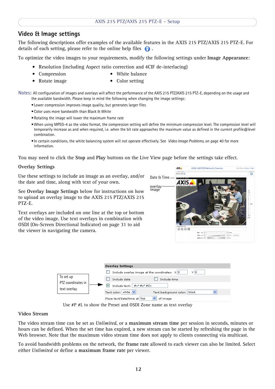### **Video & Image settings**

The following descriptions offer examples of the available features in the AXIS 215 PTZ/AXIS 215 PTZ-E. For details of each setting, please refer to the online help files  $\bigcirc$ .

To optimize the video images to your requirements, modify the following settings under **Image Appearance**:

- <span id="page-11-7"></span>• Resolution (including Aspect ratio correction and 4CIF de-interlacing)
- <span id="page-11-8"></span><span id="page-11-2"></span><span id="page-11-1"></span>• Compression • White balance
- Rotate image Color setting

**Notes:** All configuration of images and overlays will affect the performance of the AXIS 215 PTZ/AXIS 215 PTZ-E, depending on the usage and the available bandwidth. Please keep in mind the following when changing the image settings:

- •Lower compression improves image quality, but generates larger files
- •Color uses more bandwidth than Black & White
- •Rotating the image will lower the maximum frame rate
- <span id="page-11-5"></span>•When using MPEG-4 as the video format, the compression setting will define the minimum compression level. The compression level will temporarily increase as and when required, i.e. when the bit rate approaches the maximum value as defined in the current profile@level combination.
- •In certain conditions, the white balancing system will not operate effectively. See *[Video Image Problems](#page-39-0)*, on page 40 for more information.

You may need to click the **Stop** and **Play** buttons on the Live View page before the settings take effect.

#### <span id="page-11-6"></span>**Overlay Settings**

Use these settings to include an image as an overlay, and/or the date and time, along with text of your own.

See **Overlay Image Settings** below for instructions on how to upload an overlay image to the AXIS 215 PTZ/AXIS 215 PTZ-E.

Text overlays are included on one line at the top or bottom of the video image. Use text overlays in combination with OSDI (On-Screen Directional Indicator) on page 31 to aid the viewer in navigating the camera.

<span id="page-11-3"></span><span id="page-11-0"></span>



<span id="page-11-4"></span>

#### <span id="page-11-9"></span>**Video Stream**

The video stream time can be set as *Unlimited*, or a **maximum stream time** per session in seconds, minutes or hours can be defined. When the set time has expired, a new stream can be started by refreshing the page in the Web browser. Note that the maximum video stream time does not apply to clients connecting via multicast.

To avoid bandwidth problems on the network, the **frame rate** allowed to each viewer can also be limited. Select either *Unlimited* or define a **maximum frame rate** per viewer.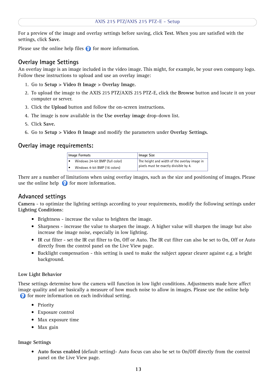For a preview of the image and overlay settings before saving, click **Test**. When you are satisfied with the settings, click **Save**.

Please use the online help files  $\bullet$  for more information.

### <span id="page-12-1"></span><span id="page-12-0"></span>**Overlay Image Settings**

An overlay image is an image included in the video image. This might, for example, be your own company logo. Follow these instructions to upload and use an overlay image:

- 1. Go to **Setup > Video & Image > Overlay Image.**
- 2. To upload the image to the AXIS 215 PTZ/AXIS 215 PTZ-E, click the **Browse** button and locate it on your computer or server.
- 3. Click the **Upload** button and follow the on-screen instructions.
- 4. The image is now available in the **Use overlay image** drop-down list.
- 5. Click **Save.**
- 6. Go to **Setup > Video & Image** and modify the parameters under **Overlay Settings**.

### **Overlay image requirements:**

| Image Formats |                                 | ' Image Size                                 |
|---------------|---------------------------------|----------------------------------------------|
|               | Windows 24-bit BMP (full color) | The height and width of the overlay image in |
|               | Windows 4-bit BMP (16 colors)   | pixels must be exactly divisible by 4.       |

There are a number of limitations when using overlay images, such as the size and positioning of images. Please use the online help  $\bullet$  for more information.

### **Advanced settings**

**Camera** - to optimize the lighting settings according to your requirements, modify the following settings under **Lighting Conditions**:

- Brightness increase the value to brighten the image.
- Sharpness increase the value to sharpen the image. A higher value will sharpen the image but also increase the image noise, especially in low lighting.
- IR cut filter set the IR cut filter to On, Off or Auto. The IR cut filter can also be set to On, Off or Auto directly from the control panel on the Live View page.
- Backlight compensation this setting is used to make the subject appear clearer against e.g. a bright background.

#### **Low Light Behavior**

These settings determine how the camera will function in low light conditions. Adjustments made here affect image quality and are basically a measure of how much noise to allow in images. Please use the online help **for more information on each individual setting.** 

- Priority
- Exposure control
- Max exposure time
- Max gain

#### **Image Settings**

• **Auto focus enabled** (default setting)- Auto focus can also be set to On/Off directly from the control panel on the Live View page.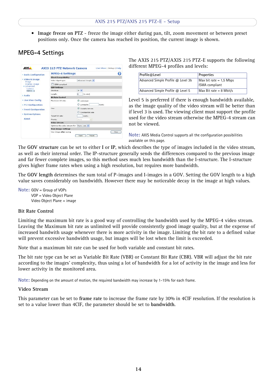• **Image freeze on PTZ** - freeze the image either during pan, tilt, zoom movement or between preset positions only. Once the camera has reached its position, the current image is shown.

## <span id="page-13-0"></span>**MPEG-4 Settings**



The AXIS 215 PTZ/AXIS 215 PTZ-E supports the following different MPEG-4 profiles and levels:

| Profile@Level                      | <b>Properties</b>                                  |
|------------------------------------|----------------------------------------------------|
| Advanced Simple Profile @ Level 3b | $Max bit rate = 1.5 Mbps$<br><b>ISMA</b> compliant |
| Advanced Simple Profile @ Level 5  | $Max Bit rate = 8 Mbit/s$                          |

Level 5 is preferred if there is enough bandwidth available, as the image quality of the video stream will be better than if level 3 is used. The viewing client must support the profile used for the video stream otherwise the MPEG-4 stream can not be viewed.

**Note:** AXIS Media Control supports all the configuration possibilities available on this page.

The **GOV structure** can be set to either **I** or **IP**, which describes the type of images included in the video stream, as well as their internal order. The IP-structure generally sends the differences compared to the previous image and far fewer complete images, so this method uses much less bandwidth than the I-structure. The I-structure gives higher frame rates when using a high resolution, but requires more bandwidth.

The **GOV length** determines the sum total of P-images and I-images in a GOV. Setting the GOV length to a high value saves considerably on bandwidth. However there may be noticeable decay in the image at high values.

```
Note: GOV = Group of VOPs
       VOP = Video Object Plane
       Video Object Plane = image
```
#### **Bit Rate Control**

Limiting the maximum bit rate is a good way of controlling the bandwidth used by the MPEG-4 video stream. Leaving the Maximum bit rate as unlimited will provide consistently good image quality, but at the expense of increased bandwith usage whenever there is more activity in the image. Limiting the bit rate to a defined value will prevent excessive bandwidth usage, but images will be lost when the limit is exceeded.

Note that a maximum bit rate can be used for both variable and constant bit rates.

The bit rate type can be set as Variable Bit Rate (VBR) or Constant Bit Rate (CBR). VBR will adjust the bit rate according to the images' complexity, thus using a lot of bandwidth for a lot of activity in the image and less for lower activity in the monitored area.

**Note:** Depending on the amount of motion, the required bandwidth may increase by 1-15% for each frame.

#### **Video Stream**

This parameter can be set to **frame rate** to increase the frame rate by 30% in 4CIF resolution. If the resolution is set to a value lower than 4CIF, the parameter should be set to **bandwidth**.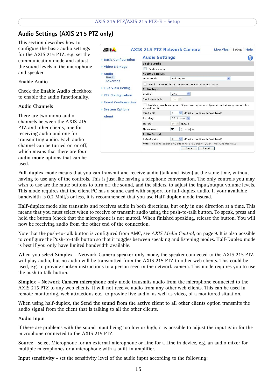### <span id="page-14-0"></span>**Audio Settings (AXIS 215 PTZ only)**

This section describes how to configure the basic audio settings for the AXIS 215 PTZ, e.g. set the communication mode and adjust the sound levels in the microphone and speaker.

#### **Enable Audio**

Check the **Enable Audio** checkbox to enable the audio functionality.

#### **Audio Channels**

There are two mono audio channels between the AXIS 215 PTZ and other clients, one for receiving audio and one for transmitting audio. Each audio channel can be turned on or off, which means that there are four **audio mode** options that can be used.

| ▶ Basic Configuration                     | <b>Audio Settings</b> |                                                                                 |   |
|-------------------------------------------|-----------------------|---------------------------------------------------------------------------------|---|
|                                           | <b>Enable Audio</b>   |                                                                                 |   |
| ▶ Video & Image                           | Enable audio          |                                                                                 |   |
| Audio                                     | <b>Audio Channels</b> |                                                                                 |   |
| <b>Basic</b><br>Advanced                  | Audio mode:           | Full duplex                                                                     | × |
|                                           |                       | Send the sound from the active client to all other clients                      |   |
| Live View Config                          | <b>Audio Input</b>    |                                                                                 |   |
| ▶ PTZ Configuration                       | Source:               | $\checkmark$<br>Line.                                                           |   |
|                                           | Input sensitivity:    | High V                                                                          |   |
| ▶ Event Configuration<br>▶ System Options | should be off.        | Enable microphone power. If your microphone is dynamic or battery powered, this |   |
|                                           | Input gain:           | dB (0 = medium default level)<br>0                                              |   |
| <b>Ahout</b>                              | Encoding:             | G711 µ-law ♥                                                                    |   |
|                                           | Bit rate:             | $64$ $%$<br>kbits/s                                                             |   |
|                                           | Alarm level:          | 50<br>$[0100]$ %                                                                |   |
|                                           | <b>Audio Output</b>   |                                                                                 |   |
|                                           | Output gain:          | $\vee$<br>0<br>dB (0 = medium default level)                                    |   |
|                                           |                       | Note: The Java applet only supports G711 audio. QuickTime supports G711.        |   |

<span id="page-14-4"></span><span id="page-14-2"></span>**Full-duplex** mode means that you can transmit and receive audio (talk and listen) at the same time, without having to use any of the controls. This is just like having a telephone conversation. The only controls you may wish to use are the mute buttons to turn off the sound, and the sliders, to adjust the input/output volume levels. This mode requires that the client PC has a sound card with support for full-duplex audio. If your available bandwidth is 0.2 Mbit/s or less, it is recommended that you use **Half-duplex** mode instead.

<span id="page-14-6"></span><span id="page-14-5"></span>**Half-duplex** mode also transmits and receives audio in both directions, but only in one direction at a time. This means that you must select when to receive or transmit audio using the push-to-talk button. To speak, press and hold the button (check that the microphone is not muted). When finished speaking, release the button. You will now be receiving audio from the other end of the connection.

<span id="page-14-3"></span>Note that the push-to-talk button is configured from AMC, see *[AXIS Media Control](#page-8-3)*, on page 9. It is also possible to configure the Push-to-talk button so that it toggles between speaking and listening modes. Half-Duplex mode is best if you only have limited bandwidth available.

When you select **Simplex - Network Camera speaker only** mode, the speaker connected to the AXIS 215 PTZ will play audio, but no audio will be transmitted from the AXIS 215 PTZ to other web clients. This could be used, e.g. to provide spoken instructions to a person seen in the network camera. This mode requires you to use the push to talk button.

**Simplex - Network Camera microphone only** mode transmits audio from the microphone connected to the AXIS 215 PTZ to any web clients. It will not receive audio from any other web clients. This can be used in remote monitoring, web attractions etc., to provide live audio, as well as video, of a monitored situation.

When using half-duplex, the **Send the sound from the active client to all other clients** option transmits the audio signal from the client that is talking to all the other clients.

#### <span id="page-14-1"></span>**Audio Input**

If there are problems with the sound input being too low or high, it is possible to adjust the input gain for the microphone connected to the AXIS 215 PTZ.

**Source** - select Microphone for an external microphone or Line for a Line in device, e.g. an audio mixer for multiple microphones or a microphone with a built-in amplifier.

**Input sensitivity** - set the sensitivity level of the audio input according to the following: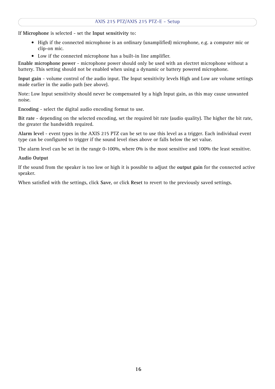If **Microphone** is selected - set the **Input sensitivity** to:

- High if the connected microphone is an ordinary (unamplified) microphone, e.g. a computer mic or clip-on mic.
- Low if the connected microphone has a built-in line amplifier.

**Enable microphone power** - microphone power should only be used with an electret microphone without a battery. This setting should not be enabled when using a dynamic or battery powered microphone.

**Input gain** - volume control of the audio input. The Input sensitivity levels High and Low are volume settings made earlier in the audio path (see above).

Note: Low Input sensitivity should never be compensated by a high Input gain, as this may cause unwanted noise.

**Encoding** - select the digital audio encoding format to use.

**Bit rate** - depending on the selected encoding, set the required bit rate (audio quality). The higher the bit rate, the greater the bandwidth required.

**Alarm level** - event types in the AXIS 215 PTZ can be set to use this level as a trigger. Each individual event type can be configured to trigger if the sound level rises above or falls below the set value.

The alarm level can be set in the range 0-100%, where 0% is the most sensitive and 100% the least sensitive.

#### <span id="page-15-0"></span>**Audio Output**

If the sound from the speaker is too low or high it is possible to adjust the **output gain** for the connected active speaker.

When satisfied with the settings, click **Save**, or click **Reset** to revert to the previously saved settings.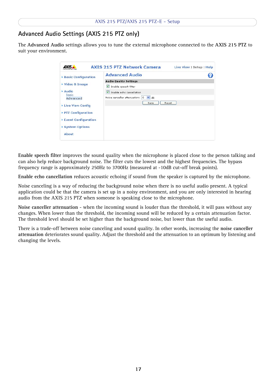## **Advanced Audio Settings (AXIS 215 PTZ only)**

The **Advanced Audio** settings allows you to tune the external microphone connected to the **AXIS 215 PTZ** to suit your environment.

| AXIS.                                                                                           | <b>AXIS 215 PTZ Network Camera</b>                            | Live View   Setup   Help |
|-------------------------------------------------------------------------------------------------|---------------------------------------------------------------|--------------------------|
| ▶ Basic Configuration                                                                           | <b>Advanced Audio</b>                                         |                          |
|                                                                                                 | <b>Audio Quality Settings</b>                                 |                          |
| ▶ Video & Image                                                                                 | $\blacktriangledown$<br>Enable speech filter                  |                          |
| Audio<br><b>Basic</b>                                                                           | M<br>Enable echo cancellation                                 |                          |
| Advanced                                                                                        | Noise canceller attenuation:<br>$ightharpoonup$ dB<br>$\circ$ |                          |
| ▶ Live View Config<br>▶ PTZ Configuration<br>▶ Event Configuration<br>▶ System Options<br>About | Save                                                          | Reset                    |

**Enable speech filter** improves the sound quality when the microphone is placed close to the person talking and can also help reduce background noise. The filter cuts the lowest and the highest frequencies. The bypass frequency range is approximately 250Hz to 3700Hz (measured at -10dB cut-off break points).

**Enable echo cancellation** reduces acoustic echoing if sound from the speaker is captured by the microphone.

Noise canceling is a way of reducing the background noise when there is no useful audio present. A typical application could be that the camera is set up in a noisy environment, and you are only interested in hearing audio from the AXIS 215 PTZ when someone is speaking close to the microphone.

**Noise canceller attenuation** - when the incoming sound is louder than the threshold, it will pass without any changes. When lower than the threshold, the incoming sound will be reduced by a certain attenuation factor. The threshold level should be set higher than the background noise, but lower than the useful audio.

There is a trade-off between noise canceling and sound quality. In other words, increasing the **noise canceller attenuation** deteriorates sound quality. Adjust the threshold and the attenuation to an optimum by listening and changing the levels.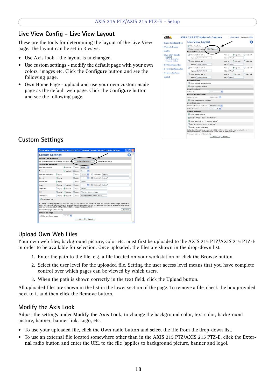### <span id="page-17-1"></span>**Live View Config - Live View Layout**

These are the tools for determining the layout of the Live View page. The layout can be set in 3 ways:

- Use Axis look the layout is unchanged.
- Use custom settings modify the default page with your own colors, images etc. Click the **Configure** button and see the following page.
- Own Home Page upload and use your own custom made page as the default web page. Click the **Configure** button and see the following page.



### <span id="page-17-0"></span>**Custom Settings**



### <span id="page-17-2"></span>**Upload Own Web Files**

Your own web files, background picture, color etc. must first be uploaded to the AXIS 215 PTZ/AXIS 215 PTZ-E in order to be available for selection. Once uploaded, the files are shown in the drop-down list.

- 1. Enter the path to the file, e.g. a file located on your workstation or click the **Browse** button.
- 2. Select the user level for the uploaded file. Setting the user access level means that you have complete control over which pages can be viewed by which users.
- 3. When the path is shown correctly in the text field, click the **Upload** button.

All uploaded files are shown in the list in the lower section of the page. To remove a file, check the box provided next to it and then click the **Remove** button.

### **Modify the Axis Look**

Adjust the settings under **Modify the Axis Look**, to change the background color, text color, background picture, banner, banner link, Logo, etc.

- To use your uploaded file, click the **Own** radio button and select the file from the drop-down list.
- To use an external file located somewhere other than in the AXIS 215 PTZ/AXIS 215 PTZ-E, click the **External** radio button and enter the URL to the file (applies to background picture, banner and logo).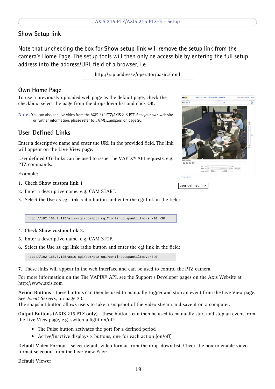### **Show Setup link**

Note that unchecking the box for **Show setup link** will remove the setup link from the camera's Home Page. The setup tools will then only be accessible by entering the full setup address into the address/URL field of a browser, i.e.

<span id="page-18-12"></span>http://<ip address>/operator/basic.shtml

### <span id="page-18-8"></span>**Own Home Page**

To use a previously uploaded web page as the default page, check the checkbox, select the page from the drop-down list and click **OK**.

**Note:** You can also add live video from the AXIS 215 PTZ/AXIS 215 PTZ-E to your own web site. For further information, please refer to *[HTML Examples](#page-19-0)*, on page 20.

### <span id="page-18-11"></span><span id="page-18-0"></span>**User Defined Links**

Enter a descriptive name and enter the URL in the provided field. The link will appear on the **Live View** page.

<span id="page-18-9"></span><span id="page-18-4"></span>User defined CGI links can be used to issue The VAPIX® API requests, e.g. PTZ commands.

Example:

- 1. Check **Show custom link 1**
- 2. Enter a descriptive name, e.g. CAM START.
- 3. Select the **Use as cgi link** radio button and enter the cgi link in the field:

http://192.168.0.125/axis-cgi/com/ptz.cgi?continuouspantiltmove=-30,-30

- 4. Check **Show custom link 2.**
- 5. Enter a descriptive name, e.g. CAM STOP.
- 6. Select the **Use as cgi link** radio button and enter the cgi link in the field:

<span id="page-18-3"></span>http://192.168.0.125/axis-cgi/com/ptz.cgi?continuouspantiltmove=0,0

7. These links will appear in the web interface and can be used to control the PTZ camera.

For more information on the The VAPIX® API, see the Support / Developer pages on the Axis Website at http://www.axis.com

<span id="page-18-1"></span>**Action Buttons** - these buttons can then be used to manually trigger and stop an event from the Live View page. See *[Event Servers](#page-22-2)*, on page 23.

<span id="page-18-7"></span>The snapshot button allows users to take a snapshot of the video stream and save it on a computer.

**Output Buttons (**AXIS 215 PTZ **only)** - these buttons can then be used to manually start and stop an event from the Live View page, e.g. switch a light on/off:

- <span id="page-18-10"></span><span id="page-18-2"></span>• The Pulse button activates the port for a defined period
- Active/Inactive displays 2 buttons, one for each action (on/off)

<span id="page-18-5"></span>**Default Video Format** - select default video format from the drop-down list. Check the box to enable video format selection from the Live View Page.

<span id="page-18-6"></span>**Default Viewer**

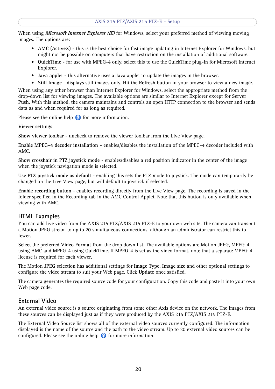When using **Microsoft Internet Explorer (IE)** for Windows, select your preferred method of viewing moving images. The options are:

- **AMC (ActiveX)**  this is the best choice for fast image updating in Internet Explorer for Windows, but might not be possible on computers that have restriction on the installation of additional software.
- **QuickTime** for use with MPEG-4 only, select this to use the QuickTime plug-in for Microsoft Internet Explorer.
- **Java applet** this alternative uses a Java applet to update the images in the browser.
- **Still Image**  displays still images only. Hit the **Refresh** button in your browser to view a new image.

When using any other browser than Internet Explorer for Windows, select the appropriate method from the drop-down list for viewing images. The available options are similar to Internet Explorer except for **Server Push.** With this method, the camera maintains and controls an open HTTP connection to the browser and sends data as and when required for as long as required.

Please see the online help  $\bullet$  for more information.

<span id="page-19-2"></span>**Viewer settings**

**Show viewer toolbar** - uncheck to remove the viewer toolbar from the Live View page.

**Enable MPEG-4 decoder installation -** enables/disables the installation of the MPEG-4 decoder included with AMC.

**Show crosshair in PTZ joystick mode** - enables/disables a red position indicator in the center of the image when the joystick navigation mode is selected.

**Use PTZ joystick mode as default** - enabling this sets the PTZ mode to joystick. The mode can temporarily be changed on the Live View page, but will default to joystick if selected.

**Enable recording button** - enables recording directly from the Live View page. The recording is saved in the folder specified in the Recording tab in the AMC Control Applet. Note that this button is only available when viewing with AMC.

### <span id="page-19-1"></span><span id="page-19-0"></span>**HTML Examples**

You can add live video from the AXIS 215 PTZ/AXIS 215 PTZ-E to your own web site. The camera can transmit a Motion JPEG stream to up to 20 simultaneous connections, although an administrator can restrict this to fewer.

Select the preferred **Video Format** from the drop down list. The available options are Motion JPEG, MPEG-4 using AMC and MPEG-4 using QuickTime. If MPEG-4 is set as the video format, note that a separate MPEG-4 license is required for each viewer.

The Motion JPEG selection has additional settings for **Image Type**, **Image size** and other optional settings to configure the video stream to suit your Web page. Click **Update** once satisfied.

The camera generates the required source code for your configuration. Copy this code and paste it into your own Web page code.

### **External Video**

An external video source is a source originating from some other Axis device on the network. The images from these sources can be displayed just as if they were produced by the AXIS 215 PTZ/AXIS 215 PTZ-E.

The External Video Source list shows all of the external video sources currently configured. The information displayed is the name of the source and the path to the video stream. Up to 20 external video sources can be configured. Please see the online help  $\bullet$  for more information.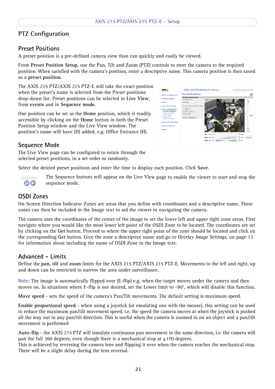### <span id="page-20-0"></span>**PTZ Configuration**

### **Preset Positions**

A preset position is a pre-defined camera view than can quickly and easily be viewed.

From **Preset Position Setup**, use the Pan, Tilt and Zoom (PTZ) controls to steer the camera to the required position. When satisfied with the camera's position, enter a descriptive name. This camera position is then saved as a **preset position**.

The AXIS 215 PTZ/AXIS 215 PTZ-E will take the exact position when the preset's name is selected from the Preset positions drop-down list. Preset positions can be selected in **Live View**, from **events** and in **Sequence mode**.

One position can be set as the **Home** position, which is readily accessible by clicking on the **Home** button in both the Preset Position Setup window and the Live View window. The position's name will have (H) added, e.g. Office Entrance (H).



### **Sequence Mode**

The Live View page can be configured to rotate through the selected preset positions, in a set order or randomly.

Select the desired preset positions and enter the time to display each position. Click **Save**.



The Sequence buttons will appear on the Live View page to enable the viewer to start and stop the sequence mode.

### **OSDI Zones**

On-Screen Direction Indicator Zones are areas that you define with coordinates and a descriptive name. These zones can then be included in the Image text to aid the viewer in navigating the camera.

The camera uses the coordinates of the center of the image to set the lower left and upper right zone areas. First navigate where you would like the most lower left point of the OSDI Zone to be located. The coordinates are set by clicking on the **Get** button. Proceed to where the upper right point of the zone should be located and click on the corresponding **Get** button. Give the zone a descriptive name and go to *[Overlay Image Settings,](#page-12-0)* on page 13 for information about including the name of OSDI Zone in the Image text.

### <span id="page-20-1"></span>**Advanced - Limits**

Define the **pan, tilt** and **zoom** limits for the AXIS 215 PTZ/AXIS 215 PTZ-E. Movements to the left and right, up and down can be restricted to narrow the area under surveillance.

**Note:** The image is automatically flipped over (E-flip) e.g. when the target moves under the camera and then moves on. In situations where E-flip is not desired, set the Lower limit to -90°, which will disable this function.

**Move speed** - sets the speed of the camera's Pan/Tilt movements. The default setting is maximum speed.

**Enable proportional speed** - when using a joystick (or emulating one with the mouse), this setting can be used to reduce the maximum pan/tilt movement speed, i.e. the speed the camera moves at when the joystick is pushed all the way out in any pan/tilt direction. This is useful when the camera is zoomed in on an object and a pan/tilt movement is performed

**Auto-flip** - the AXIS 215 PTZ will simulate continuous pan movement in the same direction, i.e. the camera will pan the full 360 degrees, even though there is a mechanical stop at  $\pm$ 170 degrees.

This is achieved by reversing the camera lens and flipping it over when the camera reaches the mechanical stop. There will be a slight delay during the lens reversal.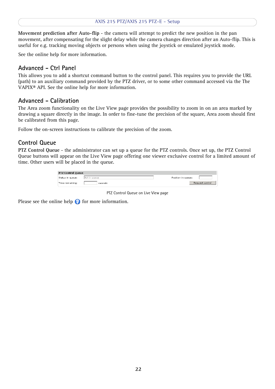**Movement prediction after Auto-flip** - the camera will attempt to predict the new position in the pan movement, after compensating for the slight delay while the camera changes direction after an Auto-flip. This is useful for e.g. tracking moving objects or persons when using the joystick or emulated joystick mode.

See the online help for more information.

### <span id="page-21-0"></span>**Advanced - Ctrl Panel**

This allows you to add a shortcut command button to the control panel. This requires you to provide the URL (path) to an auxiliary command provided by the PTZ driver, or to some other command accessed via the The VAPIX® API. See the online help for more information.

### **Advanced - Calibration**

The Area zoom functionality on the Live View page provides the possibility to zoom in on an area marked by drawing a square directly in the image. In order to fine-tune the precision of the square, Area zoom should first be calibrated from this page.

Follow the on-screen instructions to calibrate the precision of the zoom.

### **Control Queue**

**PTZ Control Queue** - the administrator can set up a queue for the PTZ controls. Once set up, the PTZ Control Queue buttons will appear on the Live View page offering one viewer exclusive control for a limited amount of time. Other users will be placed in the queue.

| <b>PTZ Control Queue</b> |              |                    |  |
|--------------------------|--------------|--------------------|--|
| Status in queue:         | Not in queue | Position in queue: |  |
| Time remaining:          | seconds      | Request control    |  |

PTZ Control Queue on Live View page

Please see the online help  $\bullet$  for more information.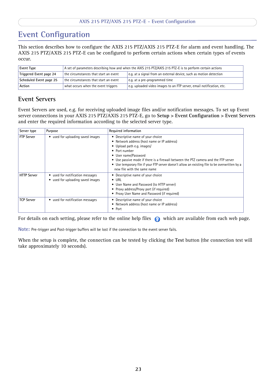## <span id="page-22-5"></span><span id="page-22-0"></span>**Event Configuration**

<span id="page-22-4"></span>This section describes how to configure the AXIS 215 PTZ/AXIS 215 PTZ-E for alarm and event handling. The AXIS 215 PTZ/AXIS 215 PTZ-E can be configured to perform certain actions when certain types of events occur.

<span id="page-22-10"></span><span id="page-22-8"></span>

| Event Type                                                                                        | A set of parameters describing how and when the AXIS 215 PTZ/AXIS 215 PTZ-E is to perform certain actions |                                                                       |  |
|---------------------------------------------------------------------------------------------------|-----------------------------------------------------------------------------------------------------------|-----------------------------------------------------------------------|--|
| Triggered Event page 24                                                                           | the circumstances that start an event                                                                     | e.g. at a signal from an external device, such as motion detection    |  |
| Scheduled Event page 25<br>the circumstances that start an event<br>e.g. at a pre-programmed time |                                                                                                           |                                                                       |  |
| Action                                                                                            | what occurs when the event triggers                                                                       | e.g. uploaded video images to an FTP server, email notification, etc. |  |

### <span id="page-22-3"></span><span id="page-22-2"></span><span id="page-22-1"></span>**Event Servers**

Event Servers are used, e.g. for receiving uploaded image files and/or notification messages. To set up Event server connections in your AXIS 215 PTZ/AXIS 215 PTZ-E, go to **Setup > Event Configuration > Event Servers** and enter the required information according to the selected server type.

<span id="page-22-7"></span><span id="page-22-6"></span>

| Server type        | Purpose                                                               | Required information                                                                                                                                                                                                                                                                                                                                                            |
|--------------------|-----------------------------------------------------------------------|---------------------------------------------------------------------------------------------------------------------------------------------------------------------------------------------------------------------------------------------------------------------------------------------------------------------------------------------------------------------------------|
| <b>FTP Server</b>  | • used for uploading saved images                                     | Descriptive name of your choice<br>٠<br>• Network address (host name or IP address)<br>Upload path e.g. images/<br>• Port number<br>• User name/Password<br>• Use passive mode if there is a firewall between the PTZ camera and the FTP server<br>• Use temporary file if your FTP server doesn't allow an existing file to be overwritten by a<br>new file with the same name |
| <b>HTTP Server</b> | • used for notification messages<br>• used for uploading saved images | • Descriptive name of your choice<br>$\bullet$ URL<br>• User Name and Password (to HTTP server)<br>• Proxy address/Proxy port (if required)<br>• Proxy User Name and Password (if required)                                                                                                                                                                                     |
| <b>TCP Server</b>  | • used for notification messages                                      | Descriptive name of your choice<br>• Network address (host name or IP address)<br>Port<br>٠                                                                                                                                                                                                                                                                                     |

<span id="page-22-9"></span>For details on each setting, please refer to the online help files  $\bullet$  which are available from each web page.

**Note:** Pre-trigger and Post-trigger buffers will be lost if the connection to the event server fails.

When the setup is complete, the connection can be tested by clicking the **Test** button (the connection test will take approximately 10 seconds).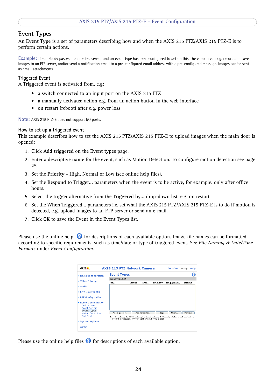### <span id="page-23-3"></span><span id="page-23-0"></span>**Event Types**

An **Event Type** is a set of parameters describing how and when the AXIS 215 PTZ/AXIS 215 PTZ-E is to perform certain actions.

**Example:** If somebody passes a connected sensor and an event type has been configured to act on this, the camera can e.g. record and save images to an FTP server, and/or send a notification email to a pre-configured email address with a pre-configured message. Images can be sent as email attachments.

#### <span id="page-23-4"></span><span id="page-23-1"></span>**Triggered Event**

A Triggered event is activated from, e.g:

- a switch connected to an input port on the AXIS 215 PTZ
- a manually activated action e.g. from an action button in the web interface
- on restart (reboot) after e.g. power loss

**Note:** AXIS 215 PTZ-E does not support I/O ports.

#### <span id="page-23-2"></span>**How to set up a triggered event**

This example describes how to set the AXIS 215 PTZ/AXIS 215 PTZ-E to upload images when the main door is opened:

- 1. Click **Add triggered** on the **Event types** page.
- 2. Enter a descriptive **name** for the event, such as Motion Detection. To configure motion detection see [page](#page-24-0)  [25](#page-24-0).
- 3. Set the **Priority** High, Normal or Low (see online help files).
- 4. Set the **Respond to Trigger...** parameters when the event is to be active, for example. only after office hours.
- 5. Select the trigger alternative from the **Triggered by...** drop-down list, e.g. on restart.
- 6. Set the **When Triggered...** parameters i.e. set what the AXIS 215 PTZ/AXIS 215 PTZ-E is to do if motion is detected, e.g. upload images to an FTP server or send an e-mail.
- 7. Click **OK** to save the Event in the Event Types list.

Please use the online help  $\bullet$  for descriptions of each available option. Image file names can be formatted according to specific requirements, such as time/date or type of triggered event. See *File Naming & Date/Time Formats* under *Event Configuration*.

|                                                                                                                               | <b>AXIS 215 PTZ Network Camera</b>                                                                                                                                 |               |               |          | Live View   Setup   Help |                      |
|-------------------------------------------------------------------------------------------------------------------------------|--------------------------------------------------------------------------------------------------------------------------------------------------------------------|---------------|---------------|----------|--------------------------|----------------------|
| <b>Basic Configuration</b>                                                                                                    | <b>Event Types</b>                                                                                                                                                 |               |               |          |                          |                      |
|                                                                                                                               | <b>Event Type List</b>                                                                                                                                             |               |               |          |                          |                      |
| ▶ Video & Image                                                                                                               | <b>Name</b>                                                                                                                                                        | <b>Status</b> | Enabl.        | Priority | Triq./Sched.             | Actions <sup>*</sup> |
| Audio                                                                                                                         |                                                                                                                                                                    |               |               |          |                          |                      |
| <b>Eive View Config</b>                                                                                                       |                                                                                                                                                                    |               |               |          |                          |                      |
| ▶ PTZ Configuration                                                                                                           |                                                                                                                                                                    |               |               |          |                          |                      |
| ▼ Event Configuration<br>Instructions<br><b>Fvent Servers</b><br><b>Event Types</b><br><b>Motion Detection</b><br>Port Status | Add triggered<br>Fu=FTP upload, Hu=HTTP upload, Eu=Email upload, O=Output port, En=Email notification,<br>Hn=HTTP notification. Tn=TCP notification. P=PTZ preset. |               | Add scheduled | Copy     | Modify                   | Remove               |
| ▶ System Options                                                                                                              |                                                                                                                                                                    |               |               |          |                          |                      |
| About                                                                                                                         |                                                                                                                                                                    |               |               |          |                          |                      |

Please use the online help files  $\Theta$  for descriptions of each available option.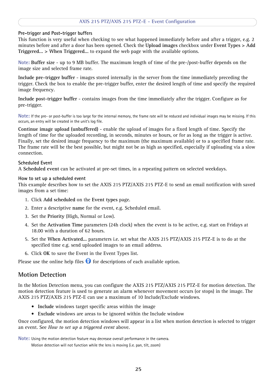#### <span id="page-24-7"></span><span id="page-24-6"></span><span id="page-24-4"></span>**Pre-trigger and Post-trigger buffers**

This function is very useful when checking to see what happened immediately before and after a trigger, e.g. 2 minutes before and after a door has been opened. Check the **Upload images** checkbox under **Event Types > Add Triggered... > When Triggered...** to expand the web page with the available options.

<span id="page-24-3"></span>**Note: Buffer size** - up to 9 MB buffer. The maximum length of time of the pre-/post-buffer depends on the image size and selected frame rate.

**Include pre-trigger buffer** - images stored internally in the server from the time immediately preceding the trigger. Check the box to enable the pre-trigger buffer, enter the desired length of time and specify the required image frequency.

**Include post-trigger buffer** - contains images from the time immediately after the trigger. Configure as for pre-trigger.

**Note:** If the pre- or post-buffer is too large for the internal memory, the frame rate will be reduced and individual images may be missing. If this occurs, an entry will be created in the unit's log file.

**Continue image upload (unbuffered)** - enable the upload of images for a fixed length of time. Specify the length of time for the uploaded recording, in seconds, minutes or hours, or for as long as the trigger is active. Finally, set the desired image frequency to the maximum (the maximum available) or to a specified frame rate. The frame rate will be the best possible, but might not be as high as specified, especially if uploading via a slow connection.

#### <span id="page-24-8"></span><span id="page-24-1"></span>**Scheduled Event**

A **Scheduled event** can be activated at pre-set times, in a repeating pattern on selected weekdays.

#### **How to set up a scheduled event**

This example describes how to set the AXIS 215 PTZ/AXIS 215 PTZ-E to send an email notification with saved images from a set time:

- 1. Click **Add scheduled** on the **Event types** page.
- 2. Enter a descriptive **name** for the event, e.g. Scheduled email.
- 3. Set the **Priority** (High, Normal or Low).
- 4. Set the **Activation Time** parameters (24h clock) when the event is to be active, e.g. start on Fridays at 18.00 with a duration of 62 hours.
- 5. Set the **When Activated...** parameters i.e. set what the AXIS 215 PTZ/AXIS 215 PTZ-E is to do at the specified time e.g. send uploaded images to an email address.
- 6. Click **OK** to save the Event in the Event Types list.

Please use the online help files  $\Theta$  for descriptions of each available option.

### <span id="page-24-5"></span><span id="page-24-0"></span>**Motion Detection**

In the Motion Detection menu, you can configure the AXIS 215 PTZ/AXIS 215 PTZ-E for motion detection. The motion detection feature is used to generate an alarm whenever movement occurs (or stops) in the image. The AXIS 215 PTZ/AXIS 215 PTZ-E can use a maximum of 10 Include/Exclude windows.

- <span id="page-24-2"></span>• **Include** windows target specific areas within the image
- **Exclude** windows are areas to be ignored within the Include window

Once configured, the motion detection windows will appear in a list when motion detection is selected to trigger an event. See *[How to set up a triggered event](#page-23-2)* above.

**Note:** Using the motion detection feature may decrease overall performance in the camera.

Motion detection will not function while the lens is moving (i.e. pan, tilt, zoom)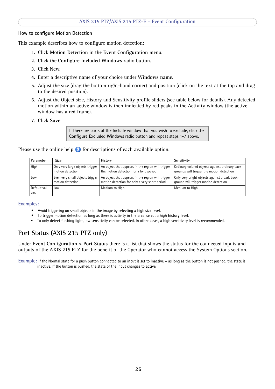#### **How to configure Motion Detection**

This example describes how to configure motion detection:

- <span id="page-25-1"></span>1. Click **Motion Detection** in the **Event Configuration** menu.
- 2. Click the **Configure Included Windows** radio button.
- 3. Click **New**.
- 4. Enter a descriptive name of your choice under **Windows name**.
- 5. Adjust the size (drag the bottom right-hand corner) and position (click on the text at the top and drag to the desired position).
- 6. Adjust the Object size, History and Sensitivity profile sliders (see table below for details). Any detected motion within an active window is then indicated by red peaks in the **Activity** window (the active window has a red frame).
- 7. Click **Save**.

If there are parts of the Include window that you wish to exclude, click the **Configure Excluded Windows** radio button and repeat steps 1-7 above.

Please use the online help  $\bullet$  for descriptions of each available option.

| Parameter           | Size                            | History                                           | Sensitivity                                     |
|---------------------|---------------------------------|---------------------------------------------------|-------------------------------------------------|
| High                | Only very large objects trigger | An object that appears in the region will trigger | Ordinary colored objects against ordinary back- |
|                     | motion detection                | the motion detection for a long period            | grounds will trigger the motion detection       |
| Low                 | Even very small objects trigger | An object that appears in the region will trigger | Only very bright objects against a dark back-   |
|                     | motion detection                | motion detection for only a very short period     | ground will trigger motion detection            |
| Default val-<br>ues | Low                             | Medium to High                                    | Medium to High                                  |

#### **Examples:**

- Avoid triggering on small objects in the image by selecting a high **size** level.
- To trigger motion detection as long as there is activity in the area, select a high **history** level.
- To only detect flashing light, low sensitivity can be selected. In other cases, a high sensitivity level is recommended.

### <span id="page-25-2"></span><span id="page-25-0"></span>**Port Status (AXIS 215 PTZ only)**

Under **Event Configuration > Port Status** there is a list that shows the status for the connected inputs and outputs of the AXIS 215 PTZ for the benefit of the Operator who cannot access the System Options section.

**Example:** If the Normal state for a push button connected to an input is set to **Inactive -** as long as the button is not pushed, the state is i**nactive**. If the button is pushed, the state of the input changes to **active**.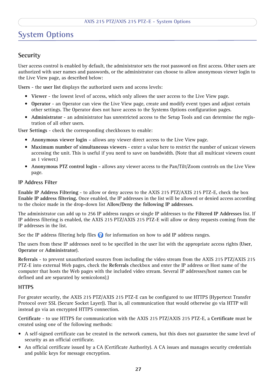## <span id="page-26-8"></span><span id="page-26-0"></span>**System Options**

### <span id="page-26-2"></span><span id="page-26-1"></span>**Security**

User access control is enabled by default, the administrator sets the root password on first access. Other users are authorized with user names and passwords, or the administrator can choose to allow anonymous viewer login to the Live View page, as described below:

<span id="page-26-7"></span>**Users** - the **user list** displays the authorized users and access levels:

- <span id="page-26-10"></span>• **Viewer** - the lowest level of access, which only allows the user access to the Live View page.
- **Operator** an Operator can view the Live View page, create and modify event types and adjust certain other settings. The Operator does not have access to the Systems Options configuration pages.
- **Administrator** an administrator has unrestricted access to the Setup Tools and can determine the registration of all other users.

**User Settings** - check the corresponding checkboxes to enable:

- **Anonymous viewer login** allows any viewer direct access to the Live View page.
- **Maximum number of simultaneous viewers** enter a value here to restrict the number of unicast viewers accessing the unit. This is useful if you need to save on bandwidth. (Note that all multicast viewers count as 1 viewer.)
- **Anonymous PTZ control login** allows any viewer access to the Pan/Tilt/Zoom controls on the Live View page.

#### **IP Address Filter**

**Enable IP Address Filtering** - to allow or deny access to the AXIS 215 PTZ/AXIS 215 PTZ-E, check the box **Enable IP address filtering.** Once enabled, the IP addresses in the list will be allowed or denied access according to the choice made in the drop-down list **Allow/Deny the following IP addresses**.

The administrator can add up to 256 IP address ranges or single IP addresses to the **Filtered IP Addresses** list. If IP address filtering is enabled, the AXIS 215 PTZ/AXIS 215 PTZ-E will allow or deny requests coming from the IP addresses in the list.

<span id="page-26-9"></span><span id="page-26-5"></span>See the IP address filtering help files  $\bullet$  for information on how to add IP address ranges.

<span id="page-26-3"></span>The users from these IP addresses need to be specified in the user list with the appropriate access rights (**User**, **Operator** or **Administrator**).

<span id="page-26-6"></span>**Referrals** - to prevent unauthorized sources from including the video stream from the AXIS 215 PTZ/AXIS 215 PTZ-E into external Web pages, check the **Referrals** checkbox and enter the IP address or Host name of the computer that hosts the Web pages with the included video stream. Several IP addresses/host names can be defined and are separated by semicolons(;)

#### <span id="page-26-4"></span>**HTTPS**

For greater security, the AXIS 215 PTZ/AXIS 215 PTZ-E can be configured to use HTTPS (Hypertext Transfer Protocol over SSL (Secure Socket Layer)). That is, all communication that would otherwise go via HTTP will instead go via an encrypted HTTPS connection.

**Certificate** - to use HTTPS for communication with the AXIS 215 PTZ/AXIS 215 PTZ-E, a **Certificate** must be created using one of the following methods:

- A self-signed certificate can be created in the network camera, but this does not guarantee the same level of security as an official certificate.
- An official certificate issued by a CA (Certificate Authority). A CA issues and manages security credentials and public keys for message encryption.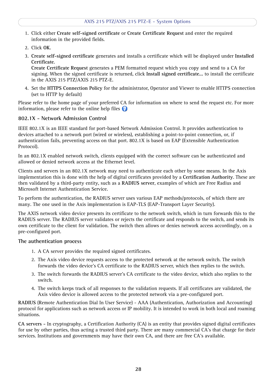- 1. Click either **Create self-signed certificate** or **Create Certificate Request** and enter the required information in the provided fields.
- 2. Click **OK**.
- 3. **Create self-signed certificate** generates and installs a certificate which will be displayed under **Installed Certificate**.

**Create Certificate Request** generates a PEM formatted request which you copy and send to a CA for signing. When the signed certificate is returned, click **Install signed certificate...** to install the certificate in the AXIS 215 PTZ/AXIS 215 PTZ-E.

4. Set the **HTTPS Connection Policy** for the administrator, Operator and Viewer to enable HTTPS connection (set to HTTP by default)

Please refer to the home page of your preferred CA for information on where to send the request etc. For more information, please refer to the online help files  $\odot$ 

#### <span id="page-27-0"></span>**802.1X - Network Admission Control**

IEEE 802.1X is an IEEE standard for port-based Network Admission Control. It provides authentication to devices attached to a network port (wired or wireless), establishing a point-to-point connection, or, if authentication fails, preventing access on that port. 802.1X is based on EAP (Extensible Authentication Protocol).

In an 802.1X enabled network switch, clients equipped with the correct software can be authenticated and allowed or denied network access at the Ethernet level.

Clients and servers in an 802.1X network may need to authenticate each other by some means. In the Axis implementation this is done with the help of digital certificates provided by a **Certification Authority**. These are then validated by a third-party entity, such as a **RADIUS server**, examples of which are Free Radius and Microsoft Internet Authentication Service.

To perform the authentication, the RADIUS server uses various EAP methods/protocols, of which there are many. The one used in the Axis implementation is EAP-TLS (EAP-Transport Layer Security).

The AXIS network video device presents its certificate to the network switch, which in turn forwards this to the RADIUS server. The RADIUS server validates or rejects the certificate and responds to the switch, and sends its own certificate to the client for validation. The switch then allows or denies network access accordingly, on a pre-configured port.

#### **The authentication process**

- 1. A CA server provides the required signed certificates.
- 2. The Axis video device requests access to the protected network at the network switch. The switch forwards the video device's CA certificate to the RADIUS server, which then replies to the switch.
- 3. The switch forwards the RADIUS server's CA certificate to the video device, which also replies to the switch.
- 4. The switch keeps track of all responses to the validation requests. If all certificates are validated, the Axis video device is allowed access to the protected network via a pre-configured port.

<span id="page-27-2"></span>**RADIUS** (Remote Authentication Dial In User Service) - AAA (Authentication, Authorization and Accounting) protocol for applications such as network access or IP mobility. It is intended to work in both local and roaming situations.

<span id="page-27-1"></span>**CA servers -** In cryptography, a Certification Authority (CA) is an entity that provides signed digital certificates for use by other parties, thus acting a trusted third party. There are many commercial CA's that charge for their services. Institutions and governments may have their own CA, and there are free CA's available.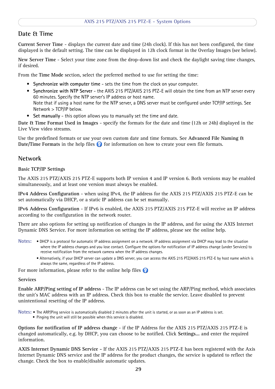### <span id="page-28-3"></span><span id="page-28-0"></span>**Date & Time**

**Current Server Time** - displays the current date and time (24h clock). If this has not been configured, the time displayed is the default setting. The time can be displayed in 12h clock format in the Overlay Images (see below).

<span id="page-28-5"></span>**New Server Time** - Select your time zone from the drop-down list and check the daylight saving time changes, if desired.

From the **Time Mode** section, select the preferred method to use for setting the time:

- <span id="page-28-8"></span><span id="page-28-6"></span>• **Synchronize with computer time** - sets the time from the clock on your computer.
- **Synchronize with NTP Server** the AXIS 215 PTZ/AXIS 215 PTZ-E will obtain the time from an NTP server every 60 minutes. Specify the NTP server's IP address or host name. Note that if using a host name for the NTP server, a DNS server must be configured under TCP/IP settings. See Network > TCP/IP below.
- **Set manually** this option allows you to manually set the time and date.

**Date & Time Format Used in Images** - specify the formats for the date and time (12h or 24h) displayed in the Live View video streams.

Use the predefined formats or use your own custom date and time formats. See **Advanced File Naming & Date/Time Formats** in the help files  $\bullet$  for information on how to create your own file formats.

### <span id="page-28-4"></span><span id="page-28-1"></span>**Network**

#### **Basic TCP/IP Settings**

The AXIS 215 PTZ/AXIS 215 PTZ-E supports both IP version 4 and IP version 6. Both versions may be enabled simultaneously, and at least one version must always be enabled.

**IPv4 Address Configuration** - when using IPv4, the IP address for the AXIS 215 PTZ/AXIS 215 PTZ-E can be set automatically via DHCP, or a static IP address can be set manually.

**IPv6 Address Configuration** - If IPv6 is enabled, the AXIS 215 PTZ/AXIS 215 PTZ-E will receive an IP address according to the configuration in the network router.

There are also options for setting up notification of changes in the IP address, and for using the AXIS Internet Dynamic DNS Service. For more information on setting the IP address, please see the online help.

- **Notes:**  DHCP is a protocol for automatic IP address assignment on a network. IP address assignment via DHCP may lead to the situation where the IP address changes and you lose contact. Configure the options for notification of IP address change (under Services) to receive notification from the network camera when the IP address changes.
	- Alternatively, if your DHCP server can update a DNS server, you can access the AXIS 215 PTZ/AXIS 215 PTZ-E by host name which is always the same, regardless of the IP address.

For more information, please refer to the online help files  $\bullet$ 

#### <span id="page-28-2"></span>**Services**

**Enable ARP/Ping setting of IP address** - The IP address can be set using the ARP/Ping method, which associates the unit's MAC address with an IP address. Check this box to enable the service. Leave disabled to prevent unintentional resetting of the IP address.

**Notes:** • The ARP/Ping service is automatically disabled 2 minutes after the unit is started, or as soon as an IP address is set.

<span id="page-28-7"></span>• Pinging the unit will still be possible when this service is disabled.

**Options for notification of IP address change** - if the IP Address for the AXIS 215 PTZ/AXIS 215 PTZ-E is changed automatically, e.g. by DHCP, you can choose to be notified. Click **Settings...** and enter the required information.

**AXIS Internet Dynamic DNS Service -** If the AXIS 215 PTZ/AXIS 215 PTZ-E has been registered with the Axis Internet Dynamic DNS service and the IP address for the product changes, the service is updated to reflect the change. Check the box to enable/disable automatic updates.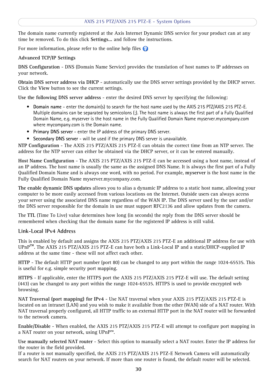The domain name currently registered at the Axis Internet Dynamic DNS service for your product can at any time be removed. To do this click **Settings...** and follow the instructions.

For more information, please refer to the online help files  $\bullet$ 

#### **Advanced TCP/IP Settings**

<span id="page-29-0"></span>**DNS Configuration** - DNS (Domain Name Service) provides the translation of host names to IP addresses on your network.

<span id="page-29-1"></span>**Obtain DNS server address via DHCP** - automatically use the DNS server settings provided by the DHCP server. Click the **View** button to see the current settings.

**Use the following DNS server address** - enter the desired DNS server by specifying the following:

- <span id="page-29-2"></span>• **Domain name** - enter the domain(s) to search for the host name used by the AXIS 215 PTZ/AXIS 215 PTZ-E. Multiple domains can be separated by semicolons (;). The host name is always the first part of a Fully Qualified Domain Name, e.g. myserver is the host name in the Fully Qualified Domain Name myserver.mycompany.com where mycompany.com is the Domain name.
- **Primary DNS server** enter the IP address of the primary DNS server.
- **Secondary DNS server** will be used if the primary DNS server is unavailable.

<span id="page-29-6"></span>**NTP Configuration** - The AXIS 215 PTZ/AXIS 215 PTZ-E can obtain the correct time from an NTP server. The address for the NTP server can either be obtained via the DHCP server, or it can be entered manually.

<span id="page-29-3"></span>**Host Name Configuration** - The AXIS 215 PTZ/AXIS 215 PTZ-E can be accessed using a host name, instead of an IP address. The host name is usually the same as the assigned DNS Name. It is always the first part of a Fully Qualified Domain Name and is always one word, with no period. For example, **myserver** is the host name in the Fully Qualified Domain Name myserver.mycompany.com.

**The enable dynamic DNS updates** allows you to alias a dynamic IP address to a static host name, allowing your computer to be more easily accessed from various locations on the Internet. Outside users can always access your server using the associated DNS name regardless of the WAN IP. The DNS server used by the user and/or the DNS server responsible for the domain in use must support RFC2136 and allow updates from the camera.

The **TTL** (Time To Live) value determines how long (in seconds) the reply from the DNS server should be remembered when checking that the domain name for the registered IP address is still valid.

#### **Link-Local IPv4 Address**

<span id="page-29-7"></span>This is enabled by default and assigns the AXIS 215 PTZ/AXIS 215 PTZ-E an additional IP address for use with UPnP**™**. The AXIS 215 PTZ/AXIS 215 PTZ-E can have both a Link-Local IP and a static/DHCP-supplied IP address at the same time - these will not affect each other.

<span id="page-29-4"></span>**HTTP** - The default HTTP port number (port 80) can be changed to any port within the range 1024-65535. This is useful for e.g. simple security port mapping.

**HTTPS** - If applicable, enter the HTTPS port the AXIS 215 PTZ/AXIS 215 PTZ-E will use. The default setting (443) can be changed to any port within the range 1024-65535. HTTPS is used to provide encrypted web browsing.

<span id="page-29-5"></span>**NAT Traversal (port mapping) for IPv4** - Use NAT traversal when your AXIS 215 PTZ/AXIS 215 PTZ-E is located on an intranet (LAN) and you wish to make it available from the other (WAN) side of a NAT router. With NAT traversal properly configured, all HTTP traffic to an external HTTP port in the NAT router will be forwarded to the network camera.

**Enable/Disable** - When enabled, the AXIS 215 PTZ/AXIS 215 PTZ-E will attempt to configure port mapping in a NAT router on your network, using UPnP™.

**Use manually selected NAT router** - Select this option to manually select a NAT router. Enter the IP address for the router in the field provided.

If a router is not manually specified, the AXIS 215 PTZ/AXIS 215 PTZ-E Network Camera will automatically search for NAT routers on your network. If more than one router is found, the default router will be selected.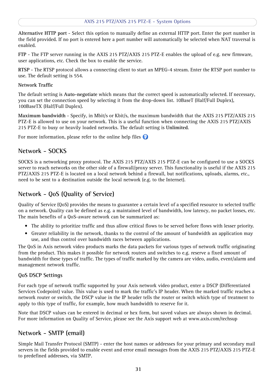**Alternative HTTP port** - Select this option to manually define an external HTTP port. Enter the port number in the field provided. If no port is entered here a port number will automatically be selected when NAT traversal is enabled.

**FTP** - The FTP server running in the AXIS 215 PTZ/AXIS 215 PTZ-E enables the upload of e.g. new firmware, user applications, etc. Check the box to enable the service.

**RTSP** - The RTSP protocol allows a connecting client to start an MPEG-4 stream. Enter the RTSP port number to use. The default setting is 554.

#### **Network Traffic**

The default setting is **Auto-negotiate** which means that the correct speed is automatically selected. If necessary, you can set the connection speed by selecting it from the drop-down list. 10BaseT (Half/Full Duplex), 100BaseTX (Half/Full Duplex).

**Maximum bandwidth** - Specify, in Mbit/s or Kbit/s, the maximum bandwidth that the AXIS 215 PTZ/AXIS 215 PTZ-E is allowed to use on your network. This is a useful function when connecting the AXIS 215 PTZ/AXIS 215 PTZ-E to busy or heavily loaded networks. The default setting is **Unlimited**.

For more information, please refer to the online help files <sup>2</sup>

### <span id="page-30-6"></span><span id="page-30-0"></span>**Network - SOCKS**

SOCKS is a networking proxy protocol. The AXIS 215 PTZ/AXIS 215 PTZ-E can be configured to use a SOCKS server to reach networks on the other side of a firewall/proxy server. This functionality is useful if the AXIS 215 PTZ/AXIS 215 PTZ-E is located on a local network behind a firewall, but notifications, uploads, alarms, etc., need to be sent to a destination outside the local network (e.g. to the Internet).

### <span id="page-30-4"></span><span id="page-30-1"></span>**Network - QoS (Quality of Service)**

Quality of Service (QoS) provides the means to guarantee a certain level of a specified resource to selected traffic on a network. Quality can be defined as e.g. a maintained level of bandwidth, low latency, no packet losses, etc. The main benefits of a QoS-aware network can be summarized as:

- The ability to prioritize traffic and thus allow critical flows to be served before flows with lesser priority.
- Greater reliability in the network, thanks to the control of the amount of bandwidth an application may use, and thus control over bandwidth races between applications.

The QoS in Axis network video products marks the data packets for various types of network traffic originating from the product. This makes it possible for network routers and switches to e.g. reserve a fixed amount of bandwidth for these types of traffic. The types of traffic marked by the camera are video, audio, event/alarm and management network traffic.

#### <span id="page-30-5"></span><span id="page-30-3"></span>**QoS DSCP Settings**

For each type of network traffic supported by your Axis network video product, enter a DSCP (Differentiated Services Codepoint) value. This value is used to mark the traffic's IP header. When the marked traffic reaches a network router or switch, the DSCP value in the IP header tells the router or switch which type of treatment to apply to this type of traffic, for example, how much bandwidth to reserve for it.

Note that DSCP values can be entered in decimal or hex form, but saved values are always shown in decimal. For more information on Quality of Service, please see the Axis support web at www.axis.com/techsup

### <span id="page-30-2"></span>**Network - SMTP (email)**

Simple Mail Transfer Protocol (SMTP) - enter the host names or addresses for your primary and secondary mail servers in the fields provided to enable event and error email messages from the AXIS 215 PTZ/AXIS 215 PTZ-E to predefined addresses, via SMTP.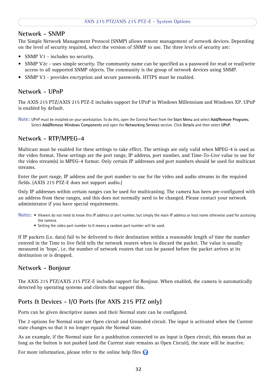### <span id="page-31-9"></span><span id="page-31-0"></span>**Network - SNMP**

The Simple Network Management Protocol (SNMP) allows remote management of network devices. Depending on the level of security required, select the version of SNMP to use. The three levels of security are:

- SNMP V1 includes no security.
- SNMP V2c uses simple security. The community name can be specified as a password for read or read/write access to all supported SNMP objects. The community is the group of network devices using SNMP.
- SNMP V3 provides encryption and secure passwords. HTTPS must be enabled.

### <span id="page-31-10"></span><span id="page-31-1"></span>**Network - UPnP**

The AXIS 215 PTZ/AXIS 215 PTZ-E includes support for UPnP in Windows Millennium and Windows XP. UPnP is enabled by default.

**Note:** UPnP must be installed on your workstation. To do this, open the Control Panel from the **Start Menu** and select **Add/Remove Programs**. Select **Add/Remove Windows Components** and open the **Networking Services** section. Click **Details** and then select **UPnP**.

### <span id="page-31-8"></span><span id="page-31-2"></span>**Network - RTP/MPEG-4**

<span id="page-31-6"></span>Multicast must be enabled for these settings to take effect. The settings are only valid when MPEG-4 is used as the video format. These settings are the port range, IP address, port number, and Time-To-Live value to use for the video stream(s) in MPEG-4 format. Only certain IP addresses and port numbers should be used for multicast streams.

Enter the port range, IP address and the port number to use for the video and audio streams in the required fields. (AXIS 215 PTZ-E does not support audio.)

Only IP addresses within certain ranges can be used for multicasting. The camera has been pre-configured with an address from these ranges, and this does not normally need to be changed. Please contact your network administrator if you have special requirements.

- **Notes:**  Viewers do not need to know this IP address or port number, but simply the main IP address or host name otherwise used for accessing the camera.
	- Setting the video port number to 0 means a random port number will be used.

If IP packets (i.e. data) fail to be delivered to their destination within a reasonable length of time the number entered in the Time to live field tells the network routers when to discard the packet. The value is usually measured in 'hops', i.e. the number of network routers that can be passed before the packet arrives at its destination or is dropped.

### <span id="page-31-5"></span><span id="page-31-3"></span>**Network - Bonjour**

The AXIS 215 PTZ/AXIS 215 PTZ-E includes support for Bonjour. When enabled, the camera is automatically detected by operating systems and clients that support this.

### <span id="page-31-7"></span><span id="page-31-4"></span>**Ports & Devices - I/O Ports (for AXIS 215 PTZ only)**

Ports can be given descriptive names and their Normal state can be configured.

The 2 options for Normal state are Open circuit and Grounded circuit. The input is activated when the Current state changes so that it no longer equals the Normal state.

As an example, if the Normal state for a pushbutton connected to an input is Open circuit, this means that as long as the button is not pushed (and the Current state remains as Open Circuit), the state will be inactive.

For more information, please refer to the online help files  $\odot$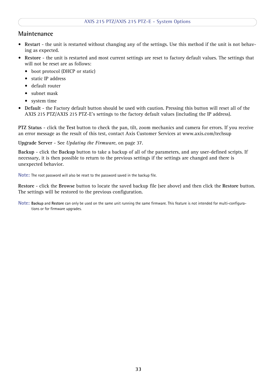### <span id="page-32-0"></span>**Maintenance**

- <span id="page-32-3"></span>• **Restart** - the unit is restarted without changing any of the settings. Use this method if the unit is not behaving as expected.
- <span id="page-32-4"></span>• **Restore** - the unit is restarted and most current settings are reset to factory default values. The settings that will not be reset are as follows:
	- boot protocol (DHCP or static)
	- static IP address
	- default router
	- subnet mask
	- system time
- <span id="page-32-2"></span>• **Default** - the Factory default button should be used with caution. Pressing this button will reset all of the AXIS 215 PTZ/AXIS 215 PTZ-E's settings to the factory default values (including the IP address).

<span id="page-32-1"></span>**PTZ Status** - click the **Test** button to check the pan, tilt, zoom mechanics and camera for errors. If you receive an error message as the result of this test, contact Axis Customer Services at www.axis.com/techsup

<span id="page-32-5"></span>**Upgrade Server** - See *[Updating the Firmware](#page-36-3)*, on page 37.

**Backup** - click the **Backup** button to take a backup of all of the parameters, and any user-defined scripts. If necessary, it is then possible to return to the previous settings if the settings are changed and there is unexpected behavior.

**Note:** The root password will also be reset to the password saved in the backup file.

**Restore** - click the **Browse** button to locate the saved backup file (see above) and then click the **Restore** button. The settings will be restored to the previous configuration.

**Note: Backup** and **Restore** can only be used on the same unit running the same firmware. This feature is not intended for multi-configurations or for firmware upgrades.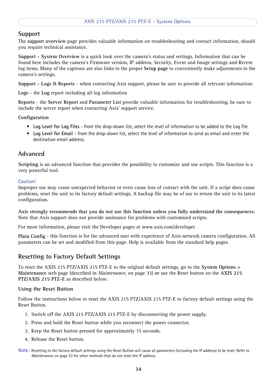### <span id="page-33-7"></span><span id="page-33-0"></span>**Support**

The **support overview** page provides valuable information on troubleshooting and contact information, should you require technical assistance.

<span id="page-33-8"></span>**Support - System Overview** is a quick look over the camera's status and settings. Information that can be found here includes the camera's Firmware version, IP address, Security, Event and Image settings and Recent log items. Many of the captions are also links to the proper **Setup page** to conveniently make adjustments in the camera's settings.

<span id="page-33-5"></span>**Support - Logs & Reports** - when contacting Axis support, please be sure to provide all relevant information:

**Logs** - the **Log** report including all log information

**Reports** - the **Server Report** and **Parameter List** provide valuable information for troubleshooting, be sure to include the server report when contacting Axis' support service.

**Configuration**

- **Log Level for Log Files** from the drop-down list, select the level of information to be added to the Log file
- **Log Level for Email**  from the drop-down list, select the level of information to send as email and enter the destination email address.

### <span id="page-33-1"></span>**Advanced**

**Scripting** is an advanced function that provides the possibility to customize and use scripts. This function is a very powerful tool.

#### **Caution!**

Improper use may cause unexpected behavior or even cause loss of contact with the unit. If a script does cause problems, reset the unit to its factory default settings. A backup file may be of use to return the unit to its latest configuration.

**Axis strongly recommends that you do not use this function unless you fully understand the consequences.**  Note that Axis support does not provide assistance for problems with customized scripts.

For more information, please visit the Developer pages at www.axis.com/developer

**Plain Config** - this function is for the advanced user with experience of Axis network camera configuration. All parameters can be set and modified from this page. Help is available from the standard help pages.

### <span id="page-33-4"></span><span id="page-33-3"></span><span id="page-33-2"></span>**Resetting to Factory Default Settings**

To reset the AXIS 215 PTZ/AXIS 215 PTZ-E to the original default settings, go to the **System Options > Maintenance** web page (described in *[Maintenance](#page-32-0)*, on page 33) **or** use the Reset button on the **AXIS 215 PTZ/AXIS 215 PTZ-E** as described below:

#### <span id="page-33-6"></span>**Using the Reset Button**

Follow the instructions below to reset the AXIS 215 PTZ/AXIS 215 PTZ-E to factory default settings using the Reset Button.

- 1. Switch off the AXIS 215 PTZ/AXIS 215 PTZ-E by disconnecting the power supply.
- 2. Press and hold the Reset button while you reconnect the power connector.
- 3. Keep the Reset button pressed for approximately 15 seconds.
- 4. Release the Reset button.
- **Note:** Resetting to the factory default settings using the Reset Button will cause all parameters (including the IP address) to be reset. Refer t[o](#page-32-0) *[Maintenance](#page-32-0)*, on page 33 for other methods that do not reset the IP address.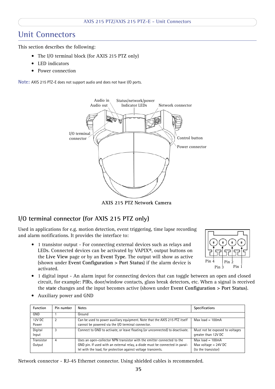## <span id="page-34-0"></span>**Unit Connectors**

This section describes the following:

- <span id="page-34-8"></span>• The I/O terminal block (for AXIS 215 PTZ only)
- LED indicators
- Power connection

**Note:** AXIS 215 PTZ-E does not support audio and does not have I/O ports.



<span id="page-34-5"></span>**AXIS 215 PTZ Network Camera**

### <span id="page-34-1"></span>**I/O terminal connector (for AXIS 215 PTZ only)**

<span id="page-34-2"></span>Used in applications for e.g. motion detection, event triggering, time lapse recording and alarm notifications. It provides the interface to:

<span id="page-34-6"></span>• 1 transistor output - For connecting external devices such as relays and LEDs. Connected devices can be activated by VAPIX®, output buttons on the **Live View** page or by an **Event Type**. The output will show as active (shown under **Event Configuration > Port Status**) if the alarm device is activated.

<span id="page-34-7"></span>

- <span id="page-34-4"></span>• 1 digital input - An alarm input for connecting devices that can toggle between an open and closed circuit, for example: PIRs, door/window contacts, glass break detectors, etc. When a signal is received the **state** changes and the input becomes active (shown under **Event Configuration > Port Status**).
- Function Pin number Notes **Specifications** Specifications GND 1 Ground 12V DC Power 2 Can be used to power auxiliary equipment. Note that the AXIS 215 PTZ itself cannot be powered via the I/O terminal connector.  $Max load = 100mA$ Digital Input 3 Connect to GND to activate, or leave floating (or unconnected) to deactivate. Must not be exposed to voltages greater than 12V DC Transistor **Output** 4 Uses an open-collector NPN transistor with the emitter connected to the GND pin. If used with an external relay, a diode must be connected in parallel with the load, for protection against voltage transients.  $Max load = 100mA$ Max voltage = 24V DC (to the transistor)
- <span id="page-34-3"></span>• Auxiliary power and GND

Network connector - RJ-45 Ethernet connector. Using shielded cables is recommended.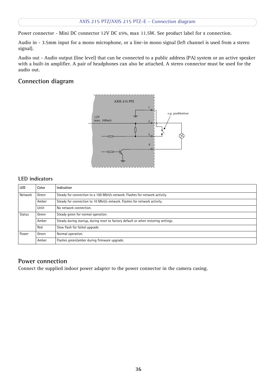Power connector - Mini DC connector 12V DC ±5%, max 11.5W. See product label for ± connection.

Audio in - 3.5mm input for a mono microphone, or a line-in mono signal (left channel is used from a stereo signal).

Audio out - Audio output (line level) that can be connected to a public address (PA) system or an active speaker with a built-in amplifier. A pair of headphones can also be attached. A stereo connector must be used for the audio out.

### <span id="page-35-0"></span>**Connection diagram**



#### <span id="page-35-1"></span>**LED indicators**

| <b>LED</b>                                                                                       | Color | Indication                                                                         |
|--------------------------------------------------------------------------------------------------|-------|------------------------------------------------------------------------------------|
| Steady for connection to a 100 Mbit/s network. Flashes for network activity.<br>Green<br>Network |       |                                                                                    |
|                                                                                                  | Amber | Steady for connection to 10 Mbit/s network. Flashes for network activity.          |
|                                                                                                  | Unlit | No network connection.                                                             |
| <b>Status</b>                                                                                    | Green | Steady green for normal operation.                                                 |
|                                                                                                  | Amber | Steady during startup, during reset to factory default or when restoring settings. |
|                                                                                                  | Red   | Slow flash for failed upgrade.                                                     |
| Power                                                                                            | Green | Normal operation.                                                                  |
|                                                                                                  | Amber | Flashes green/amber during firmware upgrade.                                       |

#### <span id="page-35-2"></span>**Power connection**

Connect the supplied indoor power adapter to the power connector in the camera casing.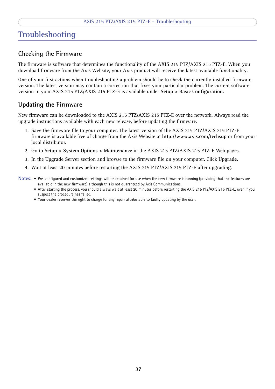## <span id="page-36-4"></span><span id="page-36-0"></span>**Troubleshooting**

### <span id="page-36-1"></span>**Checking the Firmware**

The firmware is software that determines the functionality of the AXIS 215 PTZ/AXIS 215 PTZ-E. When you download firmware from the Axis Website, your Axis product will receive the latest available functionality.

One of your first actions when troubleshooting a problem should be to check the currently installed firmware version. The latest version may contain a correction that fixes your particular problem. The current software version in your AXIS 215 PTZ/AXIS 215 PTZ-E is available under **Setup > Basic Configuration.**

### <span id="page-36-3"></span><span id="page-36-2"></span>**Updating the Firmware**

New firmware can be downloaded to the AXIS 215 PTZ/AXIS 215 PTZ-E over the network. Always read the upgrade instructions available with each new release, before updating the firmware.

- 1. Save the firmware file to your computer. The latest version of the AXIS 215 PTZ/AXIS 215 PTZ-E firmware is available free of charge from the Axis Website at **http://www.axis.com/techsup** or from your local distributor.
- 2. Go to **Setup > System Options > Maintenance** in the AXIS 215 PTZ/AXIS 215 PTZ-E Web pages.
- 3. In the **Upgrade Server** section and browse to the firmware file on your computer. Click **Upgrade**.
- 4. Wait at least 20 minutes before restarting the AXIS 215 PTZ/AXIS 215 PTZ-E after upgrading.
- **Notes:**  Pre-configured and customized settings will be retained for use when the new firmware is running (providing that the features are available in the new firmware) although this is not guaranteed by Axis Communications.
	- After starting the process, you should always wait at least 20 minutes before restarting the AXIS 215 PTZ/AXIS 215 PTZ-E, even if you suspect the procedure has failed.
	- Your dealer reserves the right to charge for any repair attributable to faulty updating by the user.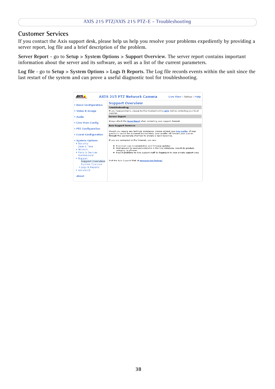### <span id="page-37-0"></span>**Customer Services**

If you contact the Axis support desk, please help us help you resolve your problems expediently by providing a server report, log file and a brief description of the problem.

**Server Report** - go to **Setup > System Options > Support Overview**. The server report contains important information about the server and its software, as well as a list of the current parameters.

**Log file** - go to **Setup > System Options > Logs & Reports**. The Log file records events within the unit since the last restart of the system and can prove a useful diagnostic tool for troubleshooting.

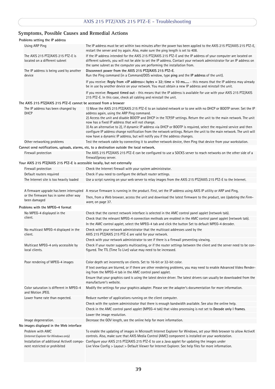### **Symptoms, Possible Causes and Remedial Actions**

| Problems setting the IP address |                                                                            |                                                                                                                                                                                                                                                                                                                                                                                                                                                                                                                                                                                                                                                                             |  |  |  |
|---------------------------------|----------------------------------------------------------------------------|-----------------------------------------------------------------------------------------------------------------------------------------------------------------------------------------------------------------------------------------------------------------------------------------------------------------------------------------------------------------------------------------------------------------------------------------------------------------------------------------------------------------------------------------------------------------------------------------------------------------------------------------------------------------------------|--|--|--|
|                                 | Using ARP Ping                                                             | The IP address must be set within two minutes after the power has been applied to the AXIS 215 PTZ/AXIS 215 PTZ-E,                                                                                                                                                                                                                                                                                                                                                                                                                                                                                                                                                          |  |  |  |
|                                 |                                                                            | restart the server and try again. Also, make sure the ping length is set to 408.                                                                                                                                                                                                                                                                                                                                                                                                                                                                                                                                                                                            |  |  |  |
|                                 | The AXIS 215 PTZ/AXIS 215 PTZ-E is<br>located on a different subnet        | If the IP address intended for the AXIS 215 PTZ/AXIS 215 PTZ-E and the IP address of your computer are located on<br>different subnets, you will not be able to set the IP address. Contact your network administrator for an IP address on<br>the same subnet as the computer you are performing the installation from.                                                                                                                                                                                                                                                                                                                                                    |  |  |  |
|                                 | The IP address is being used by another<br>device                          | Disconnect power from the AXIS 215 PTZ/AXIS 215 PTZ-E.<br>Run the Ping command (in a Command/DOS window, type ping and the IP address of the unit).                                                                                                                                                                                                                                                                                                                                                                                                                                                                                                                         |  |  |  |
|                                 |                                                                            | If you receive: Reply from <ip address="">: bytes = 32; time = 10 ms - this means that the IP address may already<br/>be in use by another device on your network. You must obtain a new IP address and reinstall the unit.</ip>                                                                                                                                                                                                                                                                                                                                                                                                                                            |  |  |  |
|                                 |                                                                            | If you receive: Request timed out - this means that the IP address is available for use with your AXIS 215 PTZ/AXIS<br>215 PTZ-E. In this case, check all cabling and reinstall the unit.                                                                                                                                                                                                                                                                                                                                                                                                                                                                                   |  |  |  |
|                                 | The AXIS 215 PTZ/AXIS 215 PTZ-E cannot be accessed from a browser          |                                                                                                                                                                                                                                                                                                                                                                                                                                                                                                                                                                                                                                                                             |  |  |  |
|                                 | The IP address has been changed by<br>DHCP                                 | 1) Move the AXIS 215 PTZ/AXIS 215 PTZ-E to an isolated network or to one with no DHCP or BOOTP server. Set the IP<br>address again, using the ARP Ping command.<br>2) Access the unit and disable BOOTP and DHCP in the TCP/IP settings. Return the unit to the main network. The unit<br>now has a fixed IP address that will not change.<br>3) As an alternative to 2), if dynamic IP address via DHCP or BOOTP is required, select the required service and then<br>configure IP address change notification from the network settings. Return the unit to the main network. The unit will<br>now have a dynamic IP address, but will notify you if the address changes. |  |  |  |
|                                 | Other networking problems                                                  | Test the network cable by connecting it to another network device, then Ping that device from your workstation.                                                                                                                                                                                                                                                                                                                                                                                                                                                                                                                                                             |  |  |  |
|                                 |                                                                            | Cannot send notifications, uploads, alarms, etc, to a destination outside the local network.                                                                                                                                                                                                                                                                                                                                                                                                                                                                                                                                                                                |  |  |  |
|                                 | Firewall protection                                                        | The AXIS 215 PTZ/AXIS 215 PTZ-E can be configured to use a SOCKS server to reach networks on the other side of a<br>firewall/proxy server.                                                                                                                                                                                                                                                                                                                                                                                                                                                                                                                                  |  |  |  |
|                                 | Your AXIS 215 PTZ/AXIS 215 PTZ-E is accessible locally, but not externally |                                                                                                                                                                                                                                                                                                                                                                                                                                                                                                                                                                                                                                                                             |  |  |  |
|                                 | Firewall protection                                                        | Check the Internet firewall with your system administrator.                                                                                                                                                                                                                                                                                                                                                                                                                                                                                                                                                                                                                 |  |  |  |
|                                 | Default routers required                                                   | Check if you need to configure the default router settings.                                                                                                                                                                                                                                                                                                                                                                                                                                                                                                                                                                                                                 |  |  |  |
|                                 | The Internet site is too heavily loaded                                    | Use a script running on your web server to relay images from the AXIS 215 PTZ/AXIS 215 PTZ-E to the Internet.                                                                                                                                                                                                                                                                                                                                                                                                                                                                                                                                                               |  |  |  |
|                                 | A firmware upgrade has been interrupted                                    | A rescue firmware is running in the product. First, set the IP address using AXIS IP utility or ARP and Ping,                                                                                                                                                                                                                                                                                                                                                                                                                                                                                                                                                               |  |  |  |
|                                 | or the firmware has in some other way<br>been damaged                      | Then, from a Web browser, access the unit and download the latest firmware to the product, see Updating the Firm-<br>ware, on page 37.                                                                                                                                                                                                                                                                                                                                                                                                                                                                                                                                      |  |  |  |
|                                 | Problems with the MPEG-4 format                                            |                                                                                                                                                                                                                                                                                                                                                                                                                                                                                                                                                                                                                                                                             |  |  |  |
|                                 | No MPEG-4 displayed in the                                                 | Check that the correct network interface is selected in the AMC control panel applet (network tab).                                                                                                                                                                                                                                                                                                                                                                                                                                                                                                                                                                         |  |  |  |
|                                 | client.                                                                    | Check that the relevant MPEG-4 connection methods are enabled in the AMC control panel applet (network tab).                                                                                                                                                                                                                                                                                                                                                                                                                                                                                                                                                                |  |  |  |
|                                 |                                                                            | In the AMC control applet, select the MPEG-4 tab and click the button Set to default MPEG-4 decoder.                                                                                                                                                                                                                                                                                                                                                                                                                                                                                                                                                                        |  |  |  |
|                                 | No multicast MPEG-4 displayed in the                                       | Check with your network administrator that the multicast addresses used by the                                                                                                                                                                                                                                                                                                                                                                                                                                                                                                                                                                                              |  |  |  |
|                                 | client.                                                                    | AXIS 215 PTZ/AXIS 215 PTZ-E are valid for your network.                                                                                                                                                                                                                                                                                                                                                                                                                                                                                                                                                                                                                     |  |  |  |
|                                 |                                                                            | Check with your network administrator to see if there is a firewall preventing viewing.                                                                                                                                                                                                                                                                                                                                                                                                                                                                                                                                                                                     |  |  |  |
|                                 | Multicast MPEG-4 only accessible by<br>local clients.                      | Check if your router supports multicasting, or if the router settings between the client and the server need to be con-<br>figured. The TTL (Time To Live) value may need to be increased.                                                                                                                                                                                                                                                                                                                                                                                                                                                                                  |  |  |  |
|                                 | Poor rendering of MPEG-4 images                                            | Color depth set incorrectly on clients. Set to 16-bit or 32-bit color.                                                                                                                                                                                                                                                                                                                                                                                                                                                                                                                                                                                                      |  |  |  |
|                                 |                                                                            | If text overlays are blurred, or if there are other rendering problems, you may need to enable Advanced Video Render-<br>ing from the MPEG-4 tab in the AMC control panel applet.                                                                                                                                                                                                                                                                                                                                                                                                                                                                                           |  |  |  |
|                                 |                                                                            | Ensure that your graphics card is using the latest device driver. The latest drivers can usually be downloaded from the<br>manufacturer's website.                                                                                                                                                                                                                                                                                                                                                                                                                                                                                                                          |  |  |  |
|                                 | Color saturation is different in MPEG-4<br>and Motion JPEG.                | Modify the settings for your graphics adapter. Please see the adapter's documentation for more information.                                                                                                                                                                                                                                                                                                                                                                                                                                                                                                                                                                 |  |  |  |
|                                 | Lower frame rate than expected.                                            | Reduce number of applications running on the client computer.                                                                                                                                                                                                                                                                                                                                                                                                                                                                                                                                                                                                               |  |  |  |
|                                 |                                                                            | Check with the system administrator that there is enough bandwidth available. See also the online help.                                                                                                                                                                                                                                                                                                                                                                                                                                                                                                                                                                     |  |  |  |
|                                 |                                                                            | Check in the AMC control panel applet (MPEG-4 tab) that video processing is not set to Decode only I frames.                                                                                                                                                                                                                                                                                                                                                                                                                                                                                                                                                                |  |  |  |
|                                 |                                                                            | Lower the image resolution.                                                                                                                                                                                                                                                                                                                                                                                                                                                                                                                                                                                                                                                 |  |  |  |
|                                 | Image degeneration.                                                        | Decrease the GOV length, see the online help for more information.                                                                                                                                                                                                                                                                                                                                                                                                                                                                                                                                                                                                          |  |  |  |
|                                 | No images displayed in the Web interface                                   |                                                                                                                                                                                                                                                                                                                                                                                                                                                                                                                                                                                                                                                                             |  |  |  |
|                                 | Problem with AMC<br>(Internet Explorer for Windows only)                   | To enable the updating of images in Microsoft Internet Explorer for Windows, set your Web browser to allow ActiveX<br>controls. Also, make sure that AXIS Media Control (AMC) component is installed on your workstation.                                                                                                                                                                                                                                                                                                                                                                                                                                                   |  |  |  |
|                                 | nent restricted or prohibited                                              | Installation of additional ActiveX compo- Configure your AXIS 215 PTZ/AXIS 215 PTZ-E to use a Java applet for updating the images under<br>Live View Config > Layout > Default Viewer for Internet Explorer. See help files for more information.                                                                                                                                                                                                                                                                                                                                                                                                                           |  |  |  |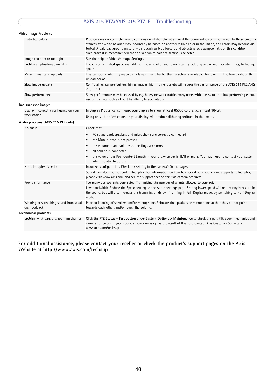### **AXIS 215 PTZ/AXIS 215 PTZ-E - Troubleshooting**

#### <span id="page-39-0"></span>**Video Image Problems**

|                     | Distorted colors                       | Problems may occur if the image contains no white color at all, or if the dominant color is not white. In these circum-<br>stances, the white balance may incorrectly be based on another visible color in the image, and colors may become dis-<br>torted. A pale background picture with reddish or blue foreground objects is very symptomatic of this condition. In<br>such cases it is recommended that a fixed white balance setting is selected. |  |  |
|---------------------|----------------------------------------|---------------------------------------------------------------------------------------------------------------------------------------------------------------------------------------------------------------------------------------------------------------------------------------------------------------------------------------------------------------------------------------------------------------------------------------------------------|--|--|
|                     | Image too dark or too light            | See the help on Video & Image Settings.                                                                                                                                                                                                                                                                                                                                                                                                                 |  |  |
|                     | Problems uploading own files           | There is only limited space available for the upload of your own files. Try deleting one or more existing files, to free up<br>space.                                                                                                                                                                                                                                                                                                                   |  |  |
|                     | Missing images in uploads              | This can occur when trying to use a larger image buffer than is actually available. Try lowering the frame rate or the<br>upload period.                                                                                                                                                                                                                                                                                                                |  |  |
|                     | Slow image update                      | Configuring, e.g. pre-buffers, hi-res images, high frame rate etc will reduce the performance of the AXIS 215 PTZ/AXIS<br>215 PTZ-E.                                                                                                                                                                                                                                                                                                                    |  |  |
|                     | Slow performance                       | Slow performance may be caused by e.g. heavy network traffic, many users with access to unit, low performing client,<br>use of features such as Event handling., Image rotation.                                                                                                                                                                                                                                                                        |  |  |
|                     | Bad snapshot images                    |                                                                                                                                                                                                                                                                                                                                                                                                                                                         |  |  |
|                     | Display incorrectly configured on your | In Display Properties, configure your display to show at least 65000 colors, i.e. at least 16-bit.                                                                                                                                                                                                                                                                                                                                                      |  |  |
|                     | workstation                            | Using only 16 or 256 colors on your display will produce dithering artifacts in the image.                                                                                                                                                                                                                                                                                                                                                              |  |  |
|                     | Audio problems (AXIS 215 PTZ only)     |                                                                                                                                                                                                                                                                                                                                                                                                                                                         |  |  |
|                     | No audio                               | Check that:                                                                                                                                                                                                                                                                                                                                                                                                                                             |  |  |
|                     |                                        | PC sound card, speakers and microphone are correctly connected<br>$\bullet$                                                                                                                                                                                                                                                                                                                                                                             |  |  |
|                     |                                        | the Mute button is not pressed<br>$\bullet$                                                                                                                                                                                                                                                                                                                                                                                                             |  |  |
|                     |                                        | the volume in and volume out settings are correct<br>$\bullet$                                                                                                                                                                                                                                                                                                                                                                                          |  |  |
|                     |                                        | all cabling is connected                                                                                                                                                                                                                                                                                                                                                                                                                                |  |  |
|                     |                                        | the value of the Post Content Length in your proxy server is 1MB or more. You may need to contact your system<br>administrator to do this.                                                                                                                                                                                                                                                                                                              |  |  |
|                     | No full-duplex function                | Incorrect configuration. Check the setting in the camera's Setup pages.                                                                                                                                                                                                                                                                                                                                                                                 |  |  |
|                     |                                        | Sound card does not support full-duplex. For information on how to check if your sound card supports full-duplex,<br>please visit www.axis.com and see the support section for Axis camera products.                                                                                                                                                                                                                                                    |  |  |
|                     | Poor performance                       | Too many users/clients connected. Try limiting the number of clients allowed to connect.                                                                                                                                                                                                                                                                                                                                                                |  |  |
|                     |                                        | Low bandwidth. Reduce the Speed setting on the Audio settings page. Setting lower speed will reduce any break-up in<br>the sound, but will also increase the transmission delay. If running in Full-Duplex mode, try switching to Half-Duplex<br>mode.                                                                                                                                                                                                  |  |  |
|                     | ers (feedback)                         | Whining or screeching sound from speak- Poor positioning of speakers and/or microphone. Relocate the speakers or microphone so that they do not point<br>towards each other, and/or lower the volume.                                                                                                                                                                                                                                                   |  |  |
| Mechanical problems |                                        |                                                                                                                                                                                                                                                                                                                                                                                                                                                         |  |  |
|                     | problem with pan, tilt, zoom mechanics | Click the PTZ Status - Test button under System Options > Maintenance to check the pan, tilt, zoom mechanics and<br>camera for errors. If you receive an error message as the result of this test, contact Axis Customer Services at<br>www.axis.com/techsup                                                                                                                                                                                            |  |  |
|                     |                                        |                                                                                                                                                                                                                                                                                                                                                                                                                                                         |  |  |

#### **For additional assistance, please contact your reseller or check the product's support pages on the Axis Website at http://www.axis.com/techsup**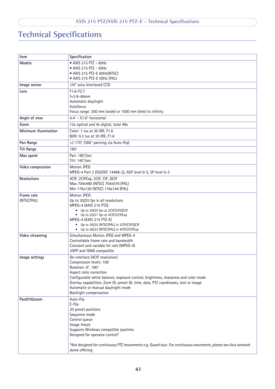## <span id="page-40-0"></span>**Technical Specifications**

| Item                 | Specification                                                                                                |
|----------------------|--------------------------------------------------------------------------------------------------------------|
| Models               | • AXIS 215 PTZ - 60Hz                                                                                        |
|                      | • AXIS 215 PTZ - 50Hz                                                                                        |
|                      | • AXIS 215 PTZ-E 60Hz(NTSC)                                                                                  |
|                      | • AXIS 215 PTZ-E 50Hz (PAL)                                                                                  |
| Image sensor         | 1/4" sony Interlaced CCD                                                                                     |
| Lens                 | $F1.6-F2.7$                                                                                                  |
|                      | $f = 3.8 - 46$ mm                                                                                            |
|                      | Automatic day/night                                                                                          |
|                      | Autofocus                                                                                                    |
|                      | Focus range: 300 mm (wide) or 1000 mm (tele) to infinity                                                     |
| Angle of view        | 4.4° - 51.6° horizontal                                                                                      |
| Zoom                 | 12x optical and 4x digital, total 48x                                                                        |
| Minimum illumination | Color: 1 lux at 30 IRE, F1.6<br>B/W: 0.3 lux at 30 IRE, F1.6                                                 |
| Pan Range            | +/-170° (360° panning via Auto-flip)                                                                         |
| <b>Tilt Range</b>    | $180^\circ$                                                                                                  |
| Max speed            | Pan: 180°/sec                                                                                                |
|                      | Tilt: 140°/sec                                                                                               |
| Video compression    | <b>Motion JPEG</b>                                                                                           |
|                      | MPEG-4 Part 2 (ISO/IEC 14496-2), ASP level 0-5, SP level 0-3                                                 |
| Resolutions          | 4CIF, 2CIFExp, 2CIF, CIF, QCIF                                                                               |
|                      | Max 704x480 (NTSC) 704x576 (PAL)                                                                             |
|                      | Min 176x120 (NTSC) 176x144 (PAL)                                                                             |
| Frame rate           | Motion JPEG:                                                                                                 |
| (NTSC/PAL)           | Up to 30/25 fps in all resolutions                                                                           |
|                      | MPEG-4 (AXIS 215 PTZ):<br>• Up to 30/25 fps at 2CIF/CIF/QCIF                                                 |
|                      | • Up to 25/21 fps at 4CIF/2CIFExp                                                                            |
|                      | MPEG-4 (AXIS 215 PTZ-E)                                                                                      |
|                      | • Up to 30/25 (NTSC/PAL) in 2CIF/CIF/QCIF                                                                    |
|                      | • Up to 26/22 (NTSC/PAL) in 4CIF/2CIFExp                                                                     |
| Video streaming      | Simultaneous Motion JPEG and MPEG-4                                                                          |
|                      | Controllable frame rate and bandwidth                                                                        |
|                      | Constant and variable bit rate (MPEG-4)                                                                      |
|                      | 3GPP and ISMA compatible                                                                                     |
| Image settings       | De-interlace (4CIF resolution)                                                                               |
|                      | Compression levels: 100                                                                                      |
|                      | Rotation: 0°, 180°<br>Aspect ratio correction                                                                |
|                      | Configurable white balance, exposure control, brightness, sharpness and color mode                           |
|                      | Overlay capabilities: Zone ID, preset ID, time, date, PTZ coordinates, text or image                         |
|                      | Automatic or manual day/night mode                                                                           |
|                      | Backlight compensation                                                                                       |
| Pan/tilt/zoom        | Auto-flip                                                                                                    |
|                      | E-flip                                                                                                       |
|                      | 20 preset positions                                                                                          |
|                      | Sequence mode                                                                                                |
|                      | Control queue                                                                                                |
|                      | Image freeze                                                                                                 |
|                      | Supports Windows compatible joysticks                                                                        |
|                      | Designed for operator control*                                                                               |
|                      | *Not designed for continuous PTZ movements e.g. Guard tour. For continuous movement, please see Axis network |
|                      | dome offering                                                                                                |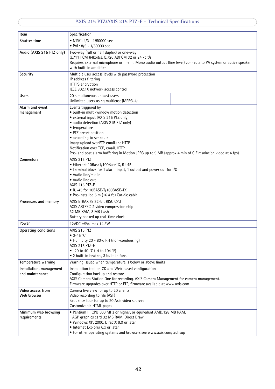### **AXIS 215 PTZ/AXIS 215 PTZ-E - Technical Specifications**

| Item                                        | Specification                                                                                                                                                                                                                                                                                                                                                                                                   |  |  |
|---------------------------------------------|-----------------------------------------------------------------------------------------------------------------------------------------------------------------------------------------------------------------------------------------------------------------------------------------------------------------------------------------------------------------------------------------------------------------|--|--|
| Shutter time                                | • NTSC: 4/3 - 1/50000 sec<br>• PAL: 8/5 - 1/50000 sec                                                                                                                                                                                                                                                                                                                                                           |  |  |
| Audio (AXIS 215 PTZ only)                   | Two-way (full or half duplex) or one-way<br>G.711 PCM 64kbit/s, G.726 ADPCM 32 or 24 kbit/s<br>Requires external microphone or line in. Mono audio output (line level) connects to PA system or active speaker<br>with built-in amplifier                                                                                                                                                                       |  |  |
| Security                                    | Multiple user access levels with password protection<br>IP address filtering<br>HTTPS encryption<br>IEEE 802.1X network access control                                                                                                                                                                                                                                                                          |  |  |
| <b>Users</b>                                | 20 simultaneous unicast users<br>Unlimited users using multicast (MPEG-4)                                                                                                                                                                                                                                                                                                                                       |  |  |
| Alarm and event<br>management               | Events triggered by<br>• built-in multi-window motion detection<br>· external input (AXIS 215 PTZ only)<br>· audio detection (AXIS 215 PTZ only)<br>• temperature<br>• PTZ preset position<br>• according to schedule<br>Image upload over FTP, email and HTTP<br>Notification over TCP, email, HTTP<br>Pre- and post alarm buffering in Motion JPEG up to 9 MB (approx 4 min of CIF resolution video at 4 fps) |  |  |
| Connectors                                  | AXIS 215 PTZ<br>• Ethernet 10BaseT/100BaseTX, RJ-45<br>. Terminal block for 1 alarm input, 1 output and power out for I/O<br>• Audio line/mic in<br>• Audio line out<br>AXIS 215 PTZ-E<br>• RJ-45 for 10BASE-T/100BASE-TX<br>· Pre-installed 5 m (16.4 ft.) Cat-5e cable                                                                                                                                        |  |  |
| Processors and memory                       | AXIS ETRAX FS 32-bit RISC CPU<br>AXIS ARTPEC-2 video compression chip<br>32 MB RAM, 8 MB flash<br>Battery backed up real-time clock                                                                                                                                                                                                                                                                             |  |  |
| Power                                       | 12VDC ±5%, max 14.5W                                                                                                                                                                                                                                                                                                                                                                                            |  |  |
| Operating conditions                        | AXIS 215 PTZ<br>$\bullet$ 0-45 °C<br>• Humidity 20 - 80% RH (non-condensing)<br>AXIS 215 PTZ-E<br>• -20 to 40 °C (-4 to 104 °F)<br>• 2 built-in heaters, 3 built-in fans                                                                                                                                                                                                                                        |  |  |
| Temperature warning                         | Warning issued when temperature is below or above limits                                                                                                                                                                                                                                                                                                                                                        |  |  |
| Installation, management<br>and maintenance | Installation tool on CD and Web-based configuration<br>Configuration backup and restore<br>AXIS Camera Station One for recording. AXIS Camera Management for camera management.<br>Firmware upgrades over HTTP or FTP, firmware available at www.axis.com                                                                                                                                                       |  |  |
| Video access from<br>Web browser            | Camera live view for up to 20 clients<br>Video recording to file (ASF)<br>Sequence tour for up to 20 Axis video sources<br>Customizable HTML pages                                                                                                                                                                                                                                                              |  |  |
| Minimum web browsing<br>requirements        | • Pentium III CPU 500 MHz or higher, or equivalent AMD, 128 MB RAM,<br>AGP graphics card 32 MB RAM, Direct Draw<br>· Windows XP, 2000, DirectX 9.0 or later<br>• Internet Explorer 6.x or later<br>• For other operating systems and browsers see www.axis.com/techsup                                                                                                                                          |  |  |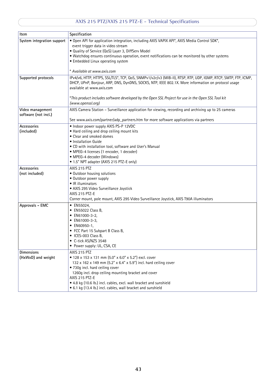### **AXIS 215 PTZ/AXIS 215 PTZ-E - Technical Specifications**

| Item                                     | Specification                                                                                                                                                                                                                                                                                                                                                                               |
|------------------------------------------|---------------------------------------------------------------------------------------------------------------------------------------------------------------------------------------------------------------------------------------------------------------------------------------------------------------------------------------------------------------------------------------------|
| System integration support               | . Open API for application integration, including AXIS VAPIX API*, AXIS Media Control SDK*,<br>event trigger data in video stream<br>. Quality of Service (QoS) Layer 3, DiffServ Model<br>. Watchdog ensures continuous operation, event notifications can be monitored by other systems<br>• Embedded Linux operating system<br>* Available at www.axis.com                               |
| Supported protocols                      | IPv4/v6, HTTP, HTTPS, SSL/TLS*, TCP, QoS, SNMPv1/v2c/v3 (MIB-II), RTSP, RTP, UDP, IGMP, RTCP, SMTP, FTP, ICMP,<br>DHCP, UPnP, Bonjour, ARP, DNS, DynDNS, SOCKS, NTP, IEEE 802.1X. More information on protocol usage<br>available at www.axis.com<br>*This product includes software developed by the Open SSL Project for use in the Open SSL Tool kit<br>(www.openssl.org)                |
| Video management<br>software (not incl.) | AXIS Camera Station - Surveillance application for viewing, recording and archiving up to 25 cameras<br>See www.axis.com/partner/adp_partners.htm for more software applications via partners                                                                                                                                                                                               |
| Accessories<br>(included)                | • Indoor power supply AXIS PS-P 12VDC<br>. Hard ceiling and drop ceiling mount kits<br>• Clear and smoked domes<br>• Installation Guide<br>. CD with installation tool, software and User's Manual<br>· MPEG-4 licenses (1 encoder, 1 decoder)<br>• MPEG-4 decoder (Windows)<br>• 1.5" NPT adapter (AXIS 215 PTZ-E only)                                                                    |
| Accessories<br>(not included)            | AXIS 215 PTZ<br>. Outdoor housing solutions<br>• Outdoor power supply<br>• IR illuminators<br>· AXIS 295 Video Surveillance Joystick<br>AXIS 215 PTZ-E<br>Corner mount, pole mount, AXIS 295 Video Surveillance Joystick, AXIS T90A illuminators                                                                                                                                            |
| Approvals - EMC                          | • EN55024,<br>• EN55022 Class B,<br>$\bullet$ EN61000-3-2,<br>• EN61000-3-3,<br>• EN60950-1,<br>• FCC Part 15 Subpart B Class B,<br>• ICES-003 Class B.<br>• C-tick AS/NZS 3548<br>• Power supply: UL, CSA, CE                                                                                                                                                                              |
| <b>Dimensions</b><br>(HxWxD) and weight  | AXIS 215 PTZ<br>• 128 x 153 x 131 mm (5.0" x 6.0" x 5.2") excl. cover<br>132 x 162 x 149 mm (5.2" x 6.4" x 5.9") incl. hard ceiling cover<br>• 730g incl. hard ceiling cover<br>1260g incl. drop ceiling mounting bracket and cover<br>AXIS 215 PTZ-E<br>• 4.8 kg (10.6 lb.) incl. cables, excl. wall bracket and sunshield<br>• 6.1 kg (13.4 lb.) incl. cables, wall bracket and sunshield |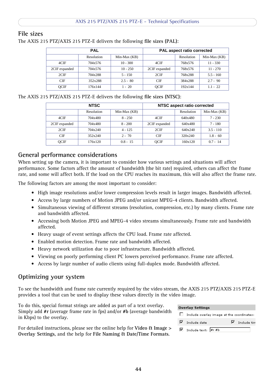### <span id="page-43-0"></span>**File sizes**

The AXIS 215 PTZ/AXIS 215 PTZ-E delivers the following **file sizes (PAL)**:

<span id="page-43-4"></span>

| <b>PAL</b>    |                   |               | <b>PAL aspect ratio corrected</b> |            |              |  |
|---------------|-------------------|---------------|-----------------------------------|------------|--------------|--|
|               | <b>Resolution</b> | $Min-Max(KB)$ |                                   | Resolution | Min-Max (KB) |  |
| 4CIF          | 704x576           | $10 - 300$    | 4CIF                              | 768x576    | $11 - 330$   |  |
| 2CIF expanded | 704x576           | $10 - 250$    | 2CIF expanded                     | 768x576    | $11 - 270$   |  |
| 2CIF          | 704x288           | $5 - 150$     | 2CIF                              | 768x288    | $5.5 - 160$  |  |
| <b>CIF</b>    | 352x288           | $2.5 - 80$    | <b>CIF</b>                        | 384x288    | $2.7 - 90$   |  |
| <b>OCIF</b>   | 176x144           | $1 - 20$      | <b>OCIF</b>                       | 192x144    | $1.1 - 22$   |  |

The AXIS 215 PTZ/AXIS 215 PTZ-E delivers the following **file sizes (NTSC)**:

<span id="page-43-3"></span>

| <b>NTSC</b>   |                   |               | NTSC aspect ratio corrected |            |              |  |
|---------------|-------------------|---------------|-----------------------------|------------|--------------|--|
|               | <b>Resolution</b> | $Min-Max(KB)$ |                             | Resolution | Min-Max (KB) |  |
| 4CIF          | 704x480           | $8 - 250$     | 4CIF                        | 640x480    | $7 - 230$    |  |
| 2CIF expanded | 704x480           | $8 - 200$     | 2CIF expanded               | 640x480    | 7 - 180      |  |
| 2CIF          | 704x240           | $4 - 125$     | 2CIF                        | 640x240    | $3.5 - 110$  |  |
| <b>CIF</b>    | 352x240           | $2 - 70$      | <b>CIF</b>                  | 320x240    | $1.8 - 60$   |  |
| OCIF          | 176x120           | $0.8 - 15$    | <b>OCIF</b>                 | 160x120    | $0.7 - 14$   |  |

### <span id="page-43-1"></span>**General performance considerations**

When setting up the camera, it is important to consider how various settings and situations will affect performance. Some factors affect the amount of bandwidth (the bit rate) required, others can affect the frame rate, and some will affect both. If the load on the CPU reaches its maximum, this will also affect the frame rate.

The following factors are among the most important to consider:

- High image resolutions and/or lower compression levels result in larger images. Bandwidth affected.
- Access by large numbers of Motion JPEG and/or unicast MPEG-4 clients. Bandwidth affected.
- Simultaneous viewing of different streams (resolution, compression, etc.) by many clients. Frame rate and bandwidth affected.
- Accessing both Motion JPEG and MPEG-4 video streams simultaneously. Frame rate and bandwidth affected.
- Heavy usage of event settings affects the CPU load. Frame rate affected.
- Enabled motion detection. Frame rate and bandwidth affected.
- Heavy network utilization due to poor infrastructure. Bandwidth affected.
- Viewing on poorly performing client PC lowers perceived performance. Frame rate affected.
- Access by large number of audio clients using full-duplex mode. Bandwidth affected.

#### <span id="page-43-2"></span>**Optimizing your system**

To see the bandwidth and frame rate currently required by the video stream, the AXIS 215 PTZ/AXIS 215 PTZ-E provides a tool that can be used to display these values directly in the video image.

To do this, special format strings are added as part of a text overlay. Simply add **#r** (average frame rate in fps) and/or **#b** (average bandwidth in Kbps) to the overlay.

For detailed instructions, please see the online help for **Video & Image > Overlay Settings**, and the help for **File Naming & Date/Time Formats**.

| <b>Overlay Settings</b> |                                            |                                                  |  |                      |  |
|-------------------------|--------------------------------------------|--------------------------------------------------|--|----------------------|--|
|                         |                                            | $\Box$ Include overlay image at the coordinates: |  |                      |  |
|                         | $\nabla$ Include date                      |                                                  |  | $\nabla$ Include tim |  |
|                         | $\boxed{\blacksquare}$ Include text: #r #b |                                                  |  |                      |  |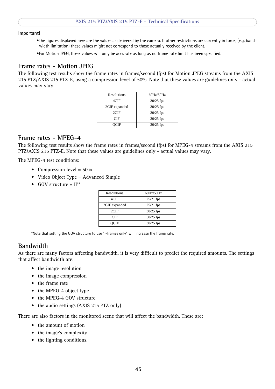#### **Important!**

- •The figures displayed here are the values as delivered by the camera. If other restrictions are currently in force, (e.g. bandwidth limitation) these values might not correspond to those actually received by the client.
- •For Motion JPEG, these values will only be accurate as long as no frame rate limit has been specified.

### <span id="page-44-4"></span><span id="page-44-0"></span>**Frame rates - Motion JPEG**

The following test results show the frame rates in frames/second (fps) for Motion JPEG streams from the AXIS 215 PTZ/AXIS 215 PTZ-E, using a compression level of 50%. Note that these values are guidelines only - actual values may vary.

| <b>Resolutions</b> | $60\frac{\text{Hz}}{50\text{Hz}}$ |
|--------------------|-----------------------------------|
| 4CIF               | $30/25$ fps                       |
| 2CIF expanded      | $30/25$ fps                       |
| 2CIF               | $30/25$ fps                       |
| CIF                | $30/25$ fps                       |
| )CIF               | $30/25$ fps                       |

#### <span id="page-44-1"></span>**Frame rates - MPEG-4**

The following test results show the frame rates in frames/second (fps) for MPEG-4 streams from the AXIS 215 PTZ/AXIS 215 PTZ-E. Note that these values are guidelines only - actual values may vary.

The MPEG-4 test conditions:

- Compression level =  $50\%$
- Video Object Type = Advanced Simple
- GOV structure  $= IP^*$

| Resolutions   | 60Hz/50Hz   |
|---------------|-------------|
| 4CIF          | $25/21$ fps |
| 2CIF expanded | $25/21$ fps |
| 2CIF          | $30/25$ fps |
| CIE           | $30/25$ fps |
| ICIE          | $30/25$ fps |

\*Note that setting the GOV structure to use "I-frames only" will increase the frame rate.

### <span id="page-44-3"></span><span id="page-44-2"></span>**Bandwidth**

As there are many factors affecting bandwidth, it is very difficult to predict the required amounts. The settings that affect bandwidth are:

- the image resolution
- the image compression
- the frame rate
- the MPEG-4 object type
- the MPEG-4 GOV structure
- the audio settings (AXIS 215 PTZ only)

There are also factors in the monitored scene that will affect the bandwidth. These are:

- the amount of motion
- the image's complexity
- the lighting conditions.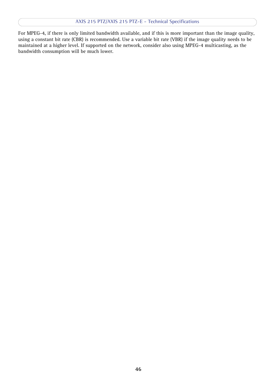For MPEG-4, if there is only limited bandwidth available, and if this is more important than the image quality, using a constant bit rate (CBR) is recommended. Use a variable bit rate (VBR) if the image quality needs to be maintained at a higher level. If supported on the network, consider also using MPEG-4 multicasting, as the bandwidth consumption will be much lower.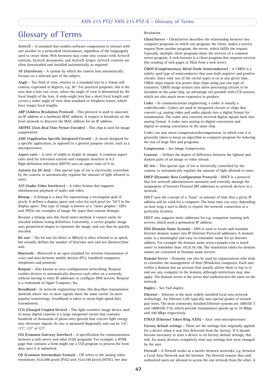## <span id="page-46-0"></span>**Glossary of Terms**

**ActiveX -** A standard that enables software components to interact with one another in a networked environment, regardless of the language(s) used to create them. Web browsers may come into contact with ActiveX controls, ActiveX documents, and ActiveX scripts. ActiveX controls are often downloaded and installed automatically as required.

**AF (Autofocus) -** A system by which the camera lens automatically focuses on a selected part of the subject.

**Angle -** The field of view, relative to a standard lens in a 35mm still camera, expressed in degrees, e.g. 30°. For practical purposes, this is the area that a lens can cover, where the angle of view is determined by the focal length of the lens. A wide-angle lens has a short focal length and covers a wider angle of view than standard or telephoto lenses, which have longer focal lengths.

**ARP (Address Resolution Protocol) -** This protocol is used to associate an IP address to a hardware MAC address. A request is broadcast on the local network to discover the MAC address for an IP address

**ARTPEC (Axis Real Time Picture Encoder) -** This chip is used for image compression.

**ASIC (Application Specific Integrated Circuit) -** A circuit designed for a specific application, as opposed to a general purpose circuit, such as a microprocessor.

**Aspect ratio -** A ratio of width to height in images. A common aspect ratio used for television screens and computer monitors is 4:3. High-definition television (HDTV) uses an aspect ratio of 9:16.

**Autoiris (or DC-Iris) -** This special type of iris is electrically controlled by the camera, to automatically regulate the amount of light allowed to enter.

**AVI (Audio Video Interleave) -** A video format that supports simultaneous playback of audio and video.

**Bitmap -** A bitmap is a data file representing a rectangular grid of pixels. It defines a display space and color for each pixel (or "bit") in the display space. This type of image is known as a "raster graphic." GIFs and JPEGs are examples of image file types that contain bitmaps.

Because a bitmap uses this fixed raster method, it cannot easily be rescaled without losing definition. Conversely, a vector graphic image uses geometrical shapes to represent the image, and can thus be quickly rescaled.

Bit rate - The bit rate (in kbit/s or Mbit/s) is often referred to as speed, but actually defines the number of bits/time unit and not distance/time unit.

**Bluetooth -** Bluetooth is an open standard for wireless transmission of voice and data between mobile devices (PCs, handheld computers, telephones and printers).

is a trademark of Apple Computer, Inc. **Bonjour -** Also known as zero-configuration networking, Bonjour enables devices to automatically discover each other on a network, without having to enter IP addresses or configure DNS servers. Bonjour

**Broadband -** In network engineering terms, this describes transmission methods where two or more signals share the same carrier. In more popular terminology, broadband is taken to mean high-speed data transmission.

**CCD (Charged Coupled Device) -** This light-sensitive image device used in many digital cameras is a large integrated circuit that contains hundreds of thousands of photo-sites (pixels) that convert light energy into electronic signals. Its size is measured diagonally and can be 1/4", 1/3", 1/2" or 2/3".

**CGI (Common Gateway Interface) -** A specification for communication between a web server and other (CGI) programs. For example, a HTML page that contains a form might use a CGI program to process the form data once it is submitted.

**CIF (Common Intermediate Format) -** CIF refers to the analog video resolutions 352x288 pixels (PAL) and 352x240 pixels (NTSC). See also

#### *Resolution*.

**Client/Server -** Client/server describes the relationship between two computer programs in which one program, the client, makes a service request from another program, the server, which fulfils the request. Typically, multiple client programs share the services of a common server program. A web browser is a client program that requests services (the sending of web pages or files) from a web server.

**CMOS (Complementary Metal Oxide Semiconductor) -** A CMOS is a widely used type of semiconductor that uses both negative and positive circuits. Since only one of the circuit types is on at any given time, CMOS chips require less power than chips using just one type of transistor. CMOS image sensors also allow processing circuits to be included on the same chip, an advantage not possible with CCD sensors, which are also much more expensive to produce.

**Codec -** In communications engineering, a codec is usually a coder/decoder. Codecs are used in integrated circuits or chips that convert e.g. analog video and audio signals into a digital format for transmission. The codec also converts received digital signals back into analog format. A codec uses analog-to-digital conversion and digital-to-analog conversion in the same chip.

Codec can also mean compression/decompression, in which case it is generally taken to mean an algorithm or computer program for reducing the size of large files and programs.

**Compression -** See *Image Compression*.

**Contrast -** Defines the degree of difference between the lightest and darkest parts of an image or video stream.

**DC-Iris -** This special type of iris is electrically controlled by the camera, to automatically regulate the amount of light allowed to enter.

**DHCP (Dynamic Host Configuration Protocol) -** DHCP is a protocol that lets network administrators automate and centrally manage the assignment of Internet Protocol (IP) addresses to network devices in a network.

DHCP uses the concept of a "lease" or amount of time that a given IP address will be valid for a computer. The lease time can vary, depending on how long a user is likely to require the network connection at a particular location.

DHCP also supports static addresses for e.g. computers running web servers, which need a permanent IP address.

**DNS (Domain Name System) -** DNS is used to locate and translate Internet domain names into IP (Internet Protocol) addresses. A domain name is a meaningful and easy-to-remember name for an Internet address. For example the domain name www.example.com is much easier to remember than 192.0.34.166. The translation tables for domain names are contained in Domain name servers.

**Domain Server -** Domains can also be used by organizations who wish to centralize the management of their (Windows) computers. Each user within a domain has an account that usually allows them to log in to and use any computer in the domain, although restrictions may also apply. The domain server is the server that authenticates the users on the network.

#### **Duplex -** See *Full-duplex.*

**Ethernet -** Ethernet is the most widely installed local area network technology. An Ethernet LAN typically uses special grades of twisted pair wires. The most commonly installed Ethernet systems are 10BASE-T and 100BASE-T10, which provide transmission speeds up to 10 Mbps and 100 Mbps respectively.

**ETRAX (Ethernet Token Ring AXIS) -** Axis' own microprocessor.

**Factory default settings -** These are the settings that originally applied for a device when it was first delivered from the factory. If it should become necessary to reset a device to its factory default settings, this will, for many devices, completely reset any settings that were changed by the user.

**Firewall -** A firewall works as a barrier between networks, e.g. between a Local Area Network and the Internet. The firewall ensures that only authorized users are allowed to access the one network from the other. A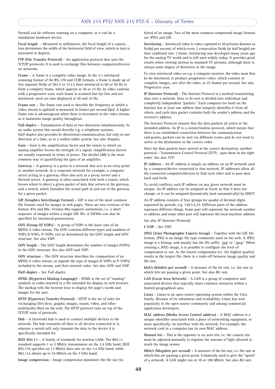firewall can be software running on a computer, or it can be a standalone hardware device.

**Focal length -** Measured in millimeters, the focal length of a camera lens determines the width of the horizontal field of view, which in turn is measured in degrees.

**FTP (File Transfer Protocol) -** An application protocol that uses the TCP/IP protocols. It is used to exchange files between computers/devices on networks.

**Frame -** A frame is a complete video image. In the 2:1 interlaced scanning format of the RS-170 and CCIR formats, a frame is made up of two separate fields of 262.5 or 312.5 lines interlaced at 60 or 50 Hz to form a complete frame, which appears at 30 or 25 Hz. In video cameras with a progressive scan, each frame is scanned line-by-line and not interlaced; most are also displayed at 30 and 25 Hz.

**Frame rate -** The frame rate used to describe the frequency at which a video stream is updated is measured in frames per second (fps). A higher frame rate is advantageous when there is movement in the video stream, as it maintains image quality throughout.

**Full-duplex -** Transmission of data in two directions simultaneously. In an audio system this would describe e.g. a telephone systems. Half-duplex also provides bi-directional communication, but only in one direction at a time, as in a walkie-talkie system. See also *Simplex*.

Gain - Gain is the amplification factor and the extent to which an analog amplifier boosts the strength of a signal. Amplification factors are usually expressed in terms of power. The decibel (dB) is the most common way of quantifying the gain of an amplifier.

**Gateway -** A gateway is a point in a network that acts as an entry point to another network. In a corporate network for example, a computer server acting as a gateway often also acts as a proxy server and a firewall server. A gateway is often associated with both a router, which knows where to direct a given packet of data that arrives at the gateway, and a switch, which furnishes the actual path in and out of the gateway for a given packet.

**GIF (Graphics Interchange Format) -** GIF is one of the most common file formats used for images in web pages. There are two versions of the format, 87a and 89a. Version 89a supports animations, i.e. a short sequence of images within a single GIF file. A GIF89a can also be specified for interlaced presentation.

**GOV (Group Of VOPs) -** A group of VOPs is the basic unit of an MPEG-4 video stream. The GOV contains different types and numbers of VOPs (I-VOPs, P-VOPs, etc) as determined by the GOV length and GOV structure. See also *VOP*.

**GOV length -** The GOV length determines the number of images (VOPs) in the GOV structure. See also *GOV* and *VOP*.

**GOV structure -** The GOV structure describes the composition of an MPEG-4 video stream, as regards the type of images (I-VOPs or P-VOPs) included in the stream, and their internal order. See also *GOV* and *VOP*.

**Half-duplex -** See *Full-duplex*.

symbols or codes inserted in a file intended for display in web browser. **HTML (Hypertext Markup Language) -** HTML is the set of "markup" The markup tells the browser how to display the page's words and images for the user.

**HTTP (Hypertext Transfer Protocol) -** HTTP is the set of rules for exchanging files (text, graphic images, sound, video, and other multimedia files) on the web. The HTTP protocol runs on top of the TCP/IP suite of protocols.

**Hub -** A (network) hub is used to connect multiple devices to the network. The hub transmits all data to all devices connected to it, whereas a switch will only transmit the data to the device it is specifically intended for.

**IEEE 802.11 -** A family of standards for wireless LANs. The 802.11 standard supports 1 or 2 Mbit/s transmission on the 2.4 GHz band. IEEE 802.11b specifies an 11 Mbit/s data rate on the 2.4 GHz band, while 802.11a allows up to 54 Mbit/s on the 5 GHz band.

**Image compression -** Image compression minimizes the file size (in

bytes) of an image. Two of the most common compressed image formats are JPEG and GIF.

**Interlacing -** Interlaced video is video captured at 50 pictures (known as fields) per second, of which every 2 consecutive fields (at half height) are then combined into 1 frame. Interlacing was developed many years ago for the analog TV world and is still used widely today. It provides good results when viewing motion in standard TV pictures, although there is always some degree of distortion in the image.

To view interlaced video on e.g. a computer monitor, the video must first be de-interlaced, to produce progressive video, which consists of complete images, one after the other, at 25 frames per second. See also *Progressive scan*.

**IP (Internet Protocol) -** The Internet Protocol is a method transmitting data over a network. Data to be sent is divided into individual and completely independent "packets." Each computer (or host) on the Internet has at least one address that uniquely identifies it from all others, and each data packet contains both the sender's address and the receiver's address.

The Internet Protocol ensures that the data packets all arrive at the intended address. As IP is a connectionless protocol, which means that there is no established connection between the communication end-points, packets can be sent via different routes and do not need to arrive at the destination in the correct order.

Once the data packets have arrived at the correct destination, another protocol - Transmission Control Protocol (TCP) - puts them in the right order. See also *TCP*.

**IP Address -** An IP address is simply an address on an IP network used by a computer/device connected to that network. IP addresses allow all the connected computers/devices to find each other and to pass data back and forth.

To avoid conflicts, each IP address on any given network must be unique. An IP address can be assigned as fixed, so that it does not change, or it can be assigned dynamically (and automatically) by DHCP.

An IP address consists of four groups (or quads) of decimal digits separated by periods, e.g. 130.5.5.25. Different parts of the address represent different things. Some part will represent the network number or address, and some other part will represent the local machine address.

See also *IP (Internet Protocol).*

**I-VOP -** See *VOP*.

**JPEG (Joint Photographic Experts Group) -** Together with the GIF file format, JPEG is an image file type commonly used on the web. A JPEG image is a bitmap, and usually has the file suffix '.jpg' or ".jpeg." When creating a JPEG image, it is possible to configure the level of compression to use. As the lowest compression (i.e. the highest quality) results in the largest file, there is a trade-off between image quality and file size.

**kbit/s (kilobits per second) -** A measure of the bit rate, i.e. the rate at which bits are passing a given point. See also *Bit rate*.

**LAN (Local Area Network) -** A LAN is a group of computers and associated devices that typically share common resources within a limited geographical area.

**Linux -** Linux is an open source operating system within the Unix family. Because of its robustness and availability, Linux has won popularity in the open source community and among commercial application developers.

**MAC address (Media Access Control address) -** A MAC address is a unique identifier associated with a piece of networking equipment, or more specifically, its interface with the network. For example, the network card in a computer has its own MAC address.

**Manual iris -** This is the opposite to an auto iris, i.e. the camera iris must be adjusted manually to regulate the amount of light allowed to reach the image sensor.

**Mbit/s (Megabits per second) -** A measure of the bit rate, i.e. the rate at which bits are passing a given point. Commonly used to give the "speed" of a network. A LAN might run at 10 or 100 Mbit/s. See also *Bit rate*.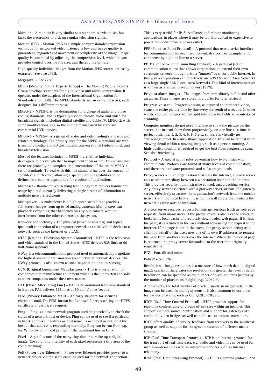**Monitor -** A monitor is very similar to a standard television set, but lacks the electronics to pick up regular television signals.

**Motion JPEG -** Motion JPEG is a simple compression/decompression technique for networked video. Latency is low and image quality is guaranteed, regardless of movement or complexity of the image. Image quality is controlled by adjusting the compression level, which in turn provides control over the file size, and thereby the bit rate.

High-quality individual images from the Motion JPEG stream are easily extracted. See also JPEG.

**Megapixel -** See *Pixel*.

**MPEG (Moving Picture Experts Group) -** The Moving Picture Experts Group develops standards for digital video and audio compression. It operates under the auspices of the International Organization for Standardization (ISO). The MPEG standards are an evolving series, each designed for a different purpose.

**MPEG-2 -** MPEG-2 is the designation for a group of audio and video coding standards, and is typically used to encode audio and video for broadcast signals, including digital satellite and Cable TV. MPEG-2, with some modifications, is also the coding format used by standard commercial DVD movies.

**MPEG-4 -** MPEG-4 is a group of audio and video coding standards and related technology. The primary uses for the MPEG-4 standard are web (streaming media) and CD distribution, conversational (videophone), and broadcast television.

Most of the features included in MPEG-4 are left to individual developers to decide whether to implement them or not. This means that there are probably no complete implementations of the entire MPEG-4 set of standards. To deal with this, the standard includes the concept of "profiles" and "levels", allowing a specific set of capabilities to be defined in a manner appropriate for a subset of applications.

**Multicast -** Bandwidth-conserving technology that reduces bandwidth usage by simultaneously delivering a single stream of information to multiple network recipients.

**Multiplexer -** A multiplexer is a high-speed switch that provides full-screen images from up to 16 analog cameras. Multiplexers can playback everything that happened on any one camera with no interference from the other cameras on the system.

**Network connectivity -** The physical (wired or wireless) and logical (protocol) connection of a computer network or an individual device to a network, such as the Internet or a LAN.

**NTSC (National Television System Committee) -** NTSC is the television and video standard in the United States. NTSC delivers 525 lines at 60 half-frames/second.

NWay is a telecommunications protocol used to automatically negotiate the highest available transmission speed between network devices. The NWay protocol is also known as auto-negotiation or auto-sensing.

**OEM (Original Equipment Manufacturer) -** This is a designation for companies that manufacture equipment which is then marketed and sold to other companies under their own names.

PAL (Phase Alternating Line) - PAL is the dominant television standard in Europe. PAL delivers 625 lines at 50 half-frames/second.

**PEM (Privacy Enhanced Mail) -** An early standard for securing electronic mail. The PEM-format is often used for representing an HTTPS certificate or certificate request.

**Ping -** Ping is a basic network program used diagnostically to check the status of a network host or device. Ping can be used to see if a particular network address (IP address or host name) is occupied or not, or if the host at that address is responding normally. Ping can be run from e.g. the Windows Command prompt or the command line in Unix.

**Pixel -** A pixel is one of the many tiny dots that make up a digital image. The color and intensity of each pixel represents a tiny area of the complete image.

**PoE (Power over Ethernet) -** Power over Ethernet provides power to a network device via the same cable as used for the network connection. This is very useful for IP-Surveillance and remote monitoring applications in places where it may be too impractical or expensive to power the device from a power outlet.

**PPP (Point-to-Point Protocol) -** A protocol that uses a serial interface for communication between two network devices. For example, a PC connected by a phone line to a server.

**PPTP (Point-to-Point Tunnelling Protocol) -** A protocol (set of communication rules) that allows corporations to extend their own corporate network through private "tunnels" over the public Internet. In this way a corporation can effectively use a WAN (Wide Area Network) as a large single LAN (Local Area Network). This kind of interconnection is known as a virtual private network (VPN).

**Pre/post alarm images -** The images from immediately before and after an alarm. These images are stored in a buffer for later retrieval.

**Progressive scan -** Progressive scan, as opposed to interlaced video, scans the entire picture, line by line every sixteenth of a second. In other words, captured images are not split into separate fields as in interlaced scanning.

Computer monitors do not need interlace to show the picture on the screen, but instead show them progressively, on one line at a time in perfect order, i.e. 1, 2, 3, 4, 5, 6, 7 etc., so there is virtually no "flickering" effect. In a surveillance application, this can be critical when viewing detail within a moving image, such as a person running. A high-quality monitor is required to get the best from progressive scan. See also *Interlacing*.

**Protocol -** A special set of rules governing how two entities will communicate. Protocols are found at many levels of communication, and there are hardware protocols and software protocols.

**Proxy server -** In an organization that uses the Internet, a proxy server acts as an intermediary between a workstation user and the Internet. This provides security, administrative control, and a caching service. Any proxy server associated with a gateway server, or part of a gateway server, effectively separates the organization's network from the outside network and the local firewall. It is the firewall server that protects the network against outside intrusion.

A proxy server receives requests for Internet services (such as web page requests) from many users. If the proxy server is also a cache server, it looks in its local cache of previously downloaded web pages. If it finds the page, it is returned to the user without forwarding the request to the Internet. If the page is not in the cache, the proxy server, acting as a client on behalf of the user, uses one of its own IP addresses to request the page from another server over the Internet. When the requested page is returned, the proxy server forwards it to the user that originally requested it.

**PTZ -** Pan, tilt and zoom.

**P-VOP -** See *VOP*.

**Resolution -** Image resolution is a measure of how much detail a digital image can hold: the greater the resolution, the greater the level of detail. Resolution can be specified as the number of pixel-columns (width) by the number of pixel-rows (height), e.g. 320x240.

Alternatively, the total number of pixels (usually in megapixels) in the image can be used. In analog systems it is also common to use other format designations, such as CIF, QCIF, 4CIF, etc.

**RTCP (Real-Time Control Protocol) -** RTCP provides support for real-time conferencing of groups of any size within an intranet. This support includes source identification and support for gateways like audio and video bridges as well as multicast-to-unicast translators.

RTCP offers quality-of-service feedback from receivers to the multicast group as well as support for the synchronization of different media streams.

**RTP (Real-Time Transport Protocol) -** RTP is an Internet protocol for the transport of real-time data, e.g. audio and video. It can be used for media-on-demand as well as interactive services such as Internet telephony.

**RTSP (Real Time Streaming Protocol) -** RTSP is a control protocol, and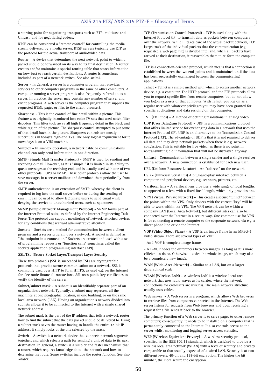a starting point for negotiating transports such as RTP, multicast and Unicast, and for negotiating codecs.

RTSP can be considered a "remote control" for controlling the media stream delivered by a media server. RTSP servers typically use RTP as the protocol for the actual transport of audio/video data.

**Router -** A device that determines the next network point to which a packet should be forwarded on its way to its final destination. A router creates and/or maintains a special routing table that stores information on how best to reach certain destinations. A router is sometimes included as part of a network switch. See also *switch*.

**Server -** In general, a server is a computer program that provides services to other computer programs in the same or other computers. A computer running a server program is also frequently referred to as a server. In practice, the server may contain any number of server and client programs. A web server is the computer program that supplies the requested HTML pages or files to the client (browser).

**Sharpness -** This is the control of fine detail within a picture. This feature was originally introduced into color TV sets that used notch filter decoders. This filter took away all high frequency detail in the black and white region of the picture. The sharpness control attempted to put some of that detail back in the picture. Sharpness controls are mostly superfluous in today's high-end TVs. The only logical requirement for it nowadays is on a VHS machine.

**Simplex -** In simplex operation, a network cable or communications channel can only send information in one direction.

**SMTP (Simple Mail Transfer Protocol) -** SMTP is used for sending and receiving e-mail. However, as it is "simple," it is limited in its ability to queue messages at the receiving end, and is usually used with one of two other protocols, POP3 or IMAP. These other protocols allow the user to save messages in a server mailbox and download them periodically from the server.

SMTP authentication is an extension of SMTP, whereby the client is required to log into the mail server before or during the sending of email. It can be used to allow legitimate users to send email while denying the service to unauthorized users, such as spammers.

**SNMP (Simple Network Management Protocol) -** SNMP forms part of the Internet Protocol suite, as defined by the Internet Engineering Task Force. The protocol can support monitoring of network-attached devices for any conditions that warrant administrative attention.

**Sockets -** Sockets are a method for communication between a client program and a server program over a network. A socket is defined as "the endpoint in a connection." Sockets are created and used with a set of programming requests or "function calls" sometimes called the sockets application programming interface (API).

**SSL/TSL (Secure Socket Layer/Transport Layer Security)**

These two protocols (SSL is succeeded by TSL) are cryptographic protocols that provide secure communication on a network. SSL is commonly used over HTTP to form HTTPS, as used e.g. on the Internet for electronic financial transactions. SSL uses public key certificates to verify the identity of the server.

**Subnet/subnet mask - A subnet is an identifiably separate part of an** Subnet/subnet mask - A subnet is an identifiably separate part of an organization's network. Typically, a subnet may represent all the machines at one geographic location, in one building, or on the same local area network (LAN). Having an organization's network divided into subnets allows it to be connected to the Internet with a single shared network address.

The subnet mask is the part of the IP address that tells a network router how to find the subnet that the data packet should be delivered to. Using a subnet mask saves the router having to handle the entire 32-bit IP address; it simply looks at the bits selected by the mask.

**Switch -** A switch is a network device that connects network segments together, and which selects a path for sending a unit of data to its next destination. In general, a switch is a simpler and faster mechanism than a router, which requires knowledge about the network and how to determine the route. Some switches include the router function. See also *Router*.

**TCP (Transmission Control Protocol) -** TCP is used along with the Internet Protocol (IP) to transmit data as packets between computers over the network. While IP takes care of the actual packet delivery, TCP keeps track of the individual packets that the communication (e.g. requested a web page file) is divided into, and, when all packets have arrived at their destination, it reassembles them to re-form the complete file.

TCP is a connection-oriented protocol, which means that a connection is established between the two end-points and is maintained until the data has been successfully exchanged between the communicating applications.

**Telnet -** Telnet is a simple method with which to access another network device, e.g. a computer. The HTTP protocol and the FTP protocols allow you to request specific files from remote computers, but do not allow you logon as a user of that computer. With Telnet, you log on as a regular user with whatever privileges you may have been granted for specific applications and data residing on that computer.

**TVL (TV Lines) -** A method of defining resolutions in analog video.

**UDP (User Datagram Protocol) -** UDP is a communications protocol that offers limited service for exchanging data in a network that uses the Internet Protocol (IP). UDP is an alternative to the Transmission Control Protocol (TCP). The advantage of UDP is that it is not required to deliver all data and may drop network packets when there is e.g. network congestion. This is suitable for live video, as there is no point in re-transmitting old information that will not be displayed anyway.

**Unicast -** Communication between a single sender and a single receiver over a network. A new connection is established for each new user.

**URL (Uniform Resource Locator) -** An "address" on the network.

**USB -** (Universal Serial Bus) A plug-and-play interface between a computer and peripheral devices, e.g. scanners, printers, etc.

**Varifocal lens -** A varifocal lens provides a wide range of focal lengths, as opposed to a lens with a fixed focal length, which only provides one.

**VPN (Virtual Private Network) -** This creates a secure "tunnel" between the points within the VPN. Only devices with the correct "key" will be able to work within the VPN. The VPN network can be within a company LAN (Local Area Network), but different sites can also be connected over the Internet in a secure way. One common use for VPN is for connecting a remote computer to the corporate network, via e.g. a direct phone line or via the Internet.

**VOP (Video Object Plane) -** A VOP is an image frame in an MPEG-4 video stream. There are several types of VOP:

- An I-VOP is complete image frame.

- A P-VOP codes the differences between images, as long as it is more efficient to do so. Otherwise it codes the whole image, which may also be a completely new image.

**WAN (Wide-Area-Network) -** Similar to a LAN, but on a larger geographical scale.

**WLAN (Wireless LAN) -** A wireless LAN is a wireless local area network that uses radio waves as its carrier: where the network connections for end-users are wireless. The main network structure usually uses cables.

**Web server -** A Web server is a program, which allows Web browsers to retrieve files from computers connected to the Internet. The Web server listens for requests from Web browsers and upon receiving a request for a file sends it back to the browser.

The primary function of a Web server is to serve pages to other remote computers; consequently, it needs to be installed on a computer that is permanently connected to the Internet. It also controls access to the server whilst monitoring and logging server access statistics.

**WEP (Wireless Equivalent Privacy) -** A wireless security protocol, specified in the IEEE 802.11 standard, which is designed to provide a wireless local area network (WLAN) with a level of security and privacy comparable to that usually expected of a wired LAN. Security is at two different levels; 40-bit and 128-bit encryption. The higher the bit number, the more secure the encryption.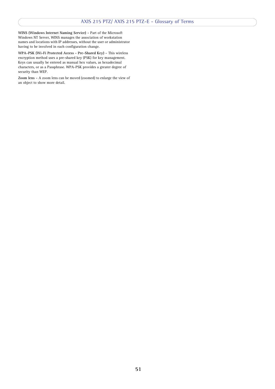**WINS (Windows Internet Naming Service) -** Part of the Microsoft Windows NT Server, WINS manages the association of workstation names and locations with IP addresses, without the user or administrator having to be involved in each configuration change.

**WPA-PSK (Wi-Fi Protected Access - Pre-Shared Key) -** This wireless encryption method uses a pre-shared key (PSK) for key management. Keys can usually be entered as manual hex values, as hexadecimal characters, or as a Passphrase. WPA-PSK provides a greater degree of security than WEP.

**Zoom lens -** A zoom lens can be moved (zoomed) to enlarge the view of an object to show more detail.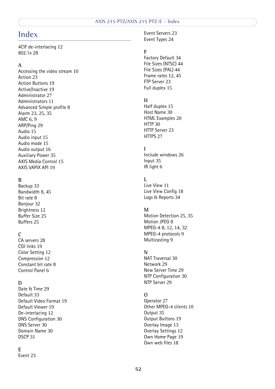## <span id="page-51-0"></span>**Index**

4CIF de-interlacing [12](#page-11-0) 802.1x [28](#page-27-0)

#### **A**

Accessing the video stream [10](#page-9-1) Action [23](#page-22-3) Action Buttons [19](#page-18-1) Active/Inactive [19](#page-18-2) Administrator [27](#page-26-3) Administrators [11](#page-10-2) Advanced Simple profile [8](#page-7-2) Alarm [23,](#page-22-4) [25,](#page-24-2) [35](#page-34-2) AMC [6,](#page-5-0) [9](#page-8-3) ARP/Ping [29](#page-28-2) Audio [15](#page-14-0) Audio input [15](#page-14-1) Audio mode [15](#page-14-2) Audio output [16](#page-15-0) Auxiliary Power [35](#page-34-3) AXIS Media Control [15](#page-14-3) AXIS VAPIX API [19](#page-18-3)

#### **B**

Backup [33](#page-32-1) Bandwidth [8,](#page-7-3) [45](#page-44-3) Bit rate [8](#page-7-4) Bonjour [32](#page-31-5) Brightness [12](#page-11-1) Buffer Size [25](#page-24-3) Buffers [25](#page-24-4)

#### **C**

CA servers [28](#page-27-1) CGI links [19](#page-18-4) Color Setting [12](#page-11-1) Compression [12](#page-11-2) Constant bit rate [8](#page-7-5) Control Panel [6](#page-5-1)

### **D**

Date & Time [29](#page-28-3) Default [33](#page-32-2) Default Video Format [19](#page-18-5) Default Viewer [19](#page-18-6) De-interlacing [12](#page-11-3) DNS Configuration [30](#page-29-0) DNS Server [30](#page-29-1) Domain Name [30](#page-29-2) DSCP [31](#page-30-3)

#### **E**

Event [23](#page-22-5)

Event Servers [23](#page-22-2) Event Types [24](#page-23-3)

#### **F**

Factory Default [34](#page-33-4) File Sizes (NTSC) [44](#page-43-3) File Sizes (PAL) [44](#page-43-4) Frame rates [12,](#page-11-4) [45](#page-44-4) FTP Server [23](#page-22-6) Full duplex [15](#page-14-4)

#### **H**

Half duplex [15](#page-14-5) Host Name [30](#page-29-3) HTML Examples [20](#page-19-1) HTTP [30](#page-29-4) HTTP Server [23](#page-22-7) HTTPS [27](#page-26-4)

#### **I**

Include windows [26](#page-25-1) Input [35](#page-34-4) IR light [6](#page-5-2)

### **L**

Live View [11](#page-10-3) Live View Config [18](#page-17-1) Logs & Reports [34](#page-33-5)

#### **M**

Motion Detection [25,](#page-24-5) [35](#page-34-5) Motion JPEG [8](#page-7-6) MPEG-4 [8,](#page-7-7) [12,](#page-11-5) [14,](#page-13-0) [32](#page-31-6) MPEG-4 protocols [9](#page-8-4) Multicasting [9](#page-8-5)

#### **N**

NAT Traversal [30](#page-29-5) Network [29](#page-28-4) New Server Time [29](#page-28-5) NTP Configuration [30](#page-29-6) NTP Server [29](#page-28-6)

#### **O**

Operator [27](#page-26-5) Other MPEG-4 clients [10](#page-9-2) Output [35](#page-34-6) Output Buttons [19](#page-18-7) Overlay Image [13](#page-12-1) Overlay Settings [12](#page-11-6) Own Home Page [19](#page-18-8) Own web files [18](#page-17-2)